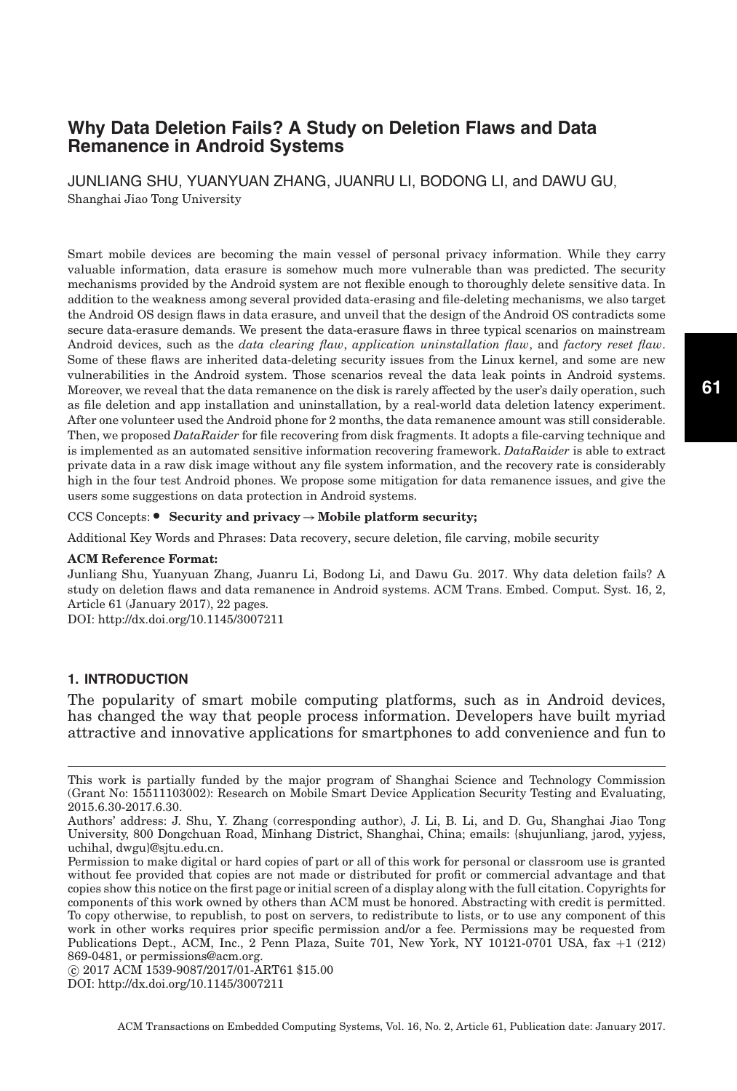# **Why Data Deletion Fails? A Study on Deletion Flaws and Data Remanence in Android Systems**

JUNLIANG SHU, YUANYUAN ZHANG, JUANRU LI, BODONG LI, and DAWU GU, Shanghai Jiao Tong University

Smart mobile devices are becoming the main vessel of personal privacy information. While they carry valuable information, data erasure is somehow much more vulnerable than was predicted. The security mechanisms provided by the Android system are not flexible enough to thoroughly delete sensitive data. In addition to the weakness among several provided data-erasing and file-deleting mechanisms, we also target the Android OS design flaws in data erasure, and unveil that the design of the Android OS contradicts some secure data-erasure demands. We present the data-erasure flaws in three typical scenarios on mainstream Android devices, such as the *data clearing flaw*, *application uninstallation flaw*, and *factory reset flaw*. Some of these flaws are inherited data-deleting security issues from the Linux kernel, and some are new vulnerabilities in the Android system. Those scenarios reveal the data leak points in Android systems. Moreover, we reveal that the data remanence on the disk is rarely affected by the user's daily operation, such as file deletion and app installation and uninstallation, by a real-world data deletion latency experiment. After one volunteer used the Android phone for 2 months, the data remanence amount was still considerable. Then, we proposed *DataRaider* for file recovering from disk fragments. It adopts a file-carving technique and is implemented as an automated sensitive information recovering framework. *DataRaider* is able to extract private data in a raw disk image without any file system information, and the recovery rate is considerably high in the four test Android phones. We propose some mitigation for data remanence issues, and give the users some suggestions on data protection in Android systems.

# CCS Concepts: • Security and privacy → Mobile platform security;

Additional Key Words and Phrases: Data recovery, secure deletion, file carving, mobile security

#### **ACM Reference Format:**

Junliang Shu, Yuanyuan Zhang, Juanru Li, Bodong Li, and Dawu Gu. 2017. Why data deletion fails? A study on deletion flaws and data remanence in Android systems. ACM Trans. Embed. Comput. Syst. 16, 2, Article 61 (January 2017), 22 pages.

DOI:<http://dx.doi.org/10.1145/3007211>

# **1. INTRODUCTION**

The popularity of smart mobile computing platforms, such as in Android devices, has changed the way that people process information. Developers have built myriad attractive and innovative applications for smartphones to add convenience and fun to

-c 2017 ACM 1539-9087/2017/01-ART61 \$15.00

This work is partially funded by the major program of Shanghai Science and Technology Commission (Grant No: 15511103002): Research on Mobile Smart Device Application Security Testing and Evaluating, 2015.6.30-2017.6.30.

Authors' address: J. Shu, Y. Zhang (corresponding author), J. Li, B. Li, and D. Gu, Shanghai Jiao Tong University, 800 Dongchuan Road, Minhang District, Shanghai, China; emails: {shujunliang, jarod, yyjess, uchihal, dwgu}@sjtu.edu.cn.

Permission to make digital or hard copies of part or all of this work for personal or classroom use is granted without fee provided that copies are not made or distributed for profit or commercial advantage and that copies show this notice on the first page or initial screen of a display along with the full citation. Copyrights for components of this work owned by others than ACM must be honored. Abstracting with credit is permitted. To copy otherwise, to republish, to post on servers, to redistribute to lists, or to use any component of this work in other works requires prior specific permission and/or a fee. Permissions may be requested from Publications Dept., ACM, Inc., 2 Penn Plaza, Suite 701, New York, NY 10121-0701 USA, fax +1 (212) 869-0481, or permissions@acm.org.

DOI:<http://dx.doi.org/10.1145/3007211>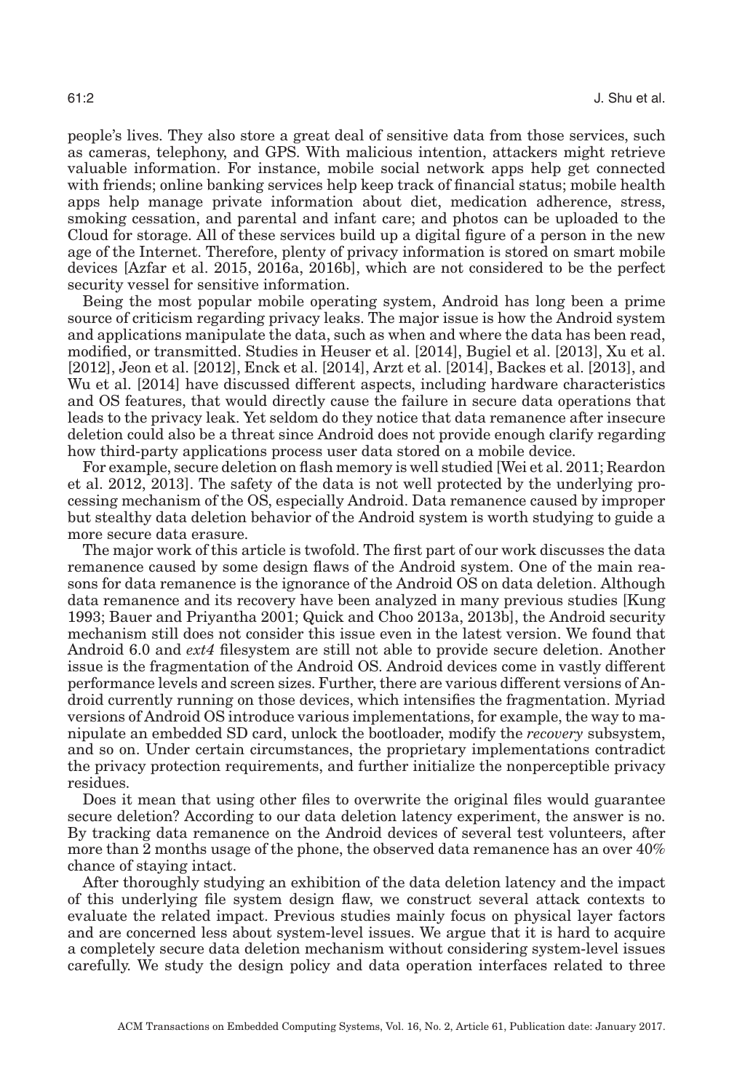people's lives. They also store a great deal of sensitive data from those services, such as cameras, telephony, and GPS. With malicious intention, attackers might retrieve valuable information. For instance, mobile social network apps help get connected with friends; online banking services help keep track of financial status; mobile health apps help manage private information about diet, medication adherence, stress, smoking cessation, and parental and infant care; and photos can be uploaded to the Cloud for storage. All of these services build up a digital figure of a person in the new age of the Internet. Therefore, plenty of privacy information is stored on smart mobile devices [Azfar et al. [2015,](#page-19-0) [2016a,](#page-19-1) [2016b\]](#page-19-2), which are not considered to be the perfect security vessel for sensitive information.

Being the most popular mobile operating system, Android has long been a prime source of criticism regarding privacy leaks. The major issue is how the Android system and applications manipulate the data, such as when and where the data has been read, modified, or transmitted. Studies in Heuser et al. [\[2014\]](#page-20-0), Bugiel et al. [\[2013\]](#page-19-3), Xu et al. [\[2012\]](#page-21-0), Jeon et al. [\[2012\]](#page-20-1), Enck et al. [\[2014\]](#page-19-4), Arzt et al. [\[2014\]](#page-19-5), Backes et al. [\[2013\]](#page-19-6), and Wu et al. [\[2014\]](#page-21-1) have discussed different aspects, including hardware characteristics and OS features, that would directly cause the failure in secure data operations that leads to the privacy leak. Yet seldom do they notice that data remanence after insecure deletion could also be a threat since Android does not provide enough clarify regarding how third-party applications process user data stored on a mobile device.

For example, secure deletion on flash memory is well studied [Wei et al. [2011;](#page-20-2) Reardon et al. [2012,](#page-20-3) [2013\]](#page-20-4). The safety of the data is not well protected by the underlying processing mechanism of the OS, especially Android. Data remanence caused by improper but stealthy data deletion behavior of the Android system is worth studying to guide a more secure data erasure.

The major work of this article is twofold. The first part of our work discusses the data remanence caused by some design flaws of the Android system. One of the main reasons for data remanence is the ignorance of the Android OS on data deletion. Although data remanence and its recovery have been analyzed in many previous studies [Kung [1993;](#page-20-5) Bauer and Priyantha [2001;](#page-19-7) Quick and Choo [2013a,](#page-20-6) [2013b\]](#page-20-7), the Android security mechanism still does not consider this issue even in the latest version. We found that Android 6.0 and *ext4* filesystem are still not able to provide secure deletion. Another issue is the fragmentation of the Android OS. Android devices come in vastly different performance levels and screen sizes. Further, there are various different versions of Android currently running on those devices, which intensifies the fragmentation. Myriad versions of Android OS introduce various implementations, for example, the way to manipulate an embedded SD card, unlock the bootloader, modify the *recovery* subsystem, and so on. Under certain circumstances, the proprietary implementations contradict the privacy protection requirements, and further initialize the nonperceptible privacy residues.

Does it mean that using other files to overwrite the original files would guarantee secure deletion? According to our data deletion latency experiment, the answer is no. By tracking data remanence on the Android devices of several test volunteers, after more than 2 months usage of the phone, the observed data remanence has an over 40% chance of staying intact.

After thoroughly studying an exhibition of the data deletion latency and the impact of this underlying file system design flaw, we construct several attack contexts to evaluate the related impact. Previous studies mainly focus on physical layer factors and are concerned less about system-level issues. We argue that it is hard to acquire a completely secure data deletion mechanism without considering system-level issues carefully. We study the design policy and data operation interfaces related to three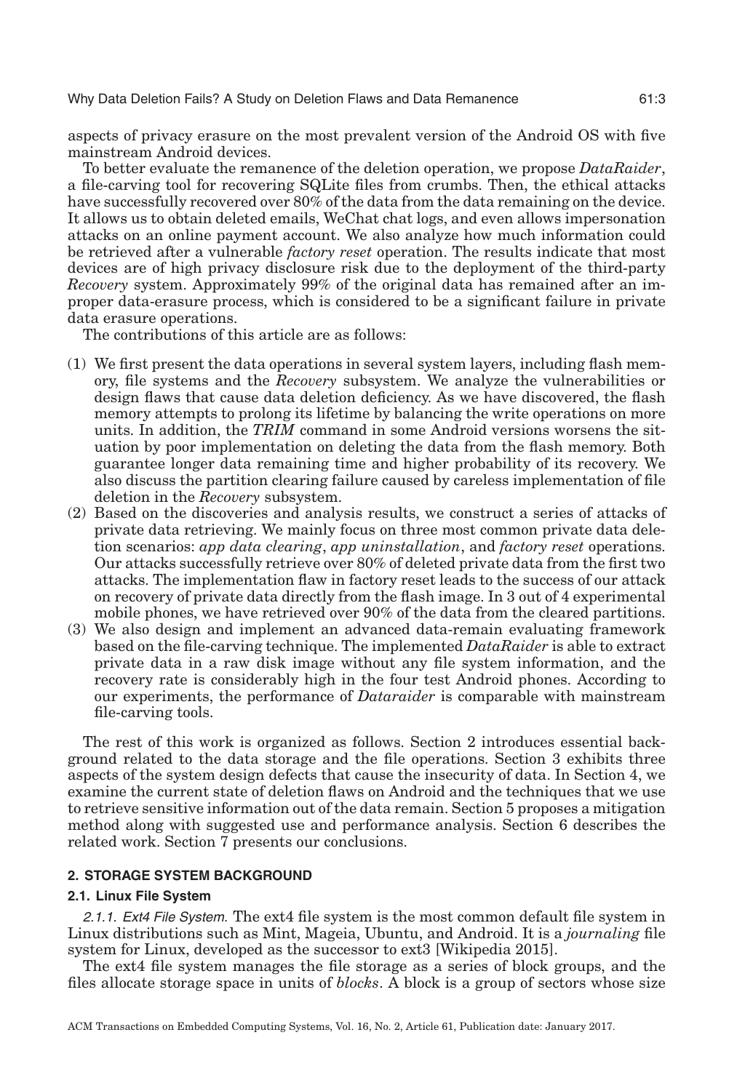aspects of privacy erasure on the most prevalent version of the Android OS with five mainstream Android devices.

To better evaluate the remanence of the deletion operation, we propose *DataRaider*, a file-carving tool for recovering SQLite files from crumbs. Then, the ethical attacks have successfully recovered over 80% of the data from the data remaining on the device. It allows us to obtain deleted emails, WeChat chat logs, and even allows impersonation attacks on an online payment account. We also analyze how much information could be retrieved after a vulnerable *factory reset* operation. The results indicate that most devices are of high privacy disclosure risk due to the deployment of the third-party *Recovery* system. Approximately 99% of the original data has remained after an improper data-erasure process, which is considered to be a significant failure in private data erasure operations.

The contributions of this article are as follows:

- (1) We first present the data operations in several system layers, including flash memory, file systems and the *Recovery* subsystem. We analyze the vulnerabilities or design flaws that cause data deletion deficiency. As we have discovered, the flash memory attempts to prolong its lifetime by balancing the write operations on more units. In addition, the *TRIM* command in some Android versions worsens the situation by poor implementation on deleting the data from the flash memory. Both guarantee longer data remaining time and higher probability of its recovery. We also discuss the partition clearing failure caused by careless implementation of file deletion in the *Recovery* subsystem.
- (2) Based on the discoveries and analysis results, we construct a series of attacks of private data retrieving. We mainly focus on three most common private data deletion scenarios: *app data clearing*, *app uninstallation*, and *factory reset* operations. Our attacks successfully retrieve over 80% of deleted private data from the first two attacks. The implementation flaw in factory reset leads to the success of our attack on recovery of private data directly from the flash image. In 3 out of 4 experimental mobile phones, we have retrieved over 90% of the data from the cleared partitions.
- (3) We also design and implement an advanced data-remain evaluating framework based on the file-carving technique. The implemented *DataRaider* is able to extract private data in a raw disk image without any file system information, and the recovery rate is considerably high in the four test Android phones. According to our experiments, the performance of *Dataraider* is comparable with mainstream file-carving tools.

The rest of this work is organized as follows. Section [2](#page-2-0) introduces essential background related to the data storage and the file operations. Section [3](#page-5-0) exhibits three aspects of the system design defects that cause the insecurity of data. In Section [4,](#page-8-0) we examine the current state of deletion flaws on Android and the techniques that we use to retrieve sensitive information out of the data remain. Section [5](#page-16-0) proposes a mitigation method along with suggested use and performance analysis. Section [6](#page-17-0) describes the related work. Section [7](#page-18-0) presents our conclusions.

# **2. STORAGE SYSTEM BACKGROUND**

#### <span id="page-2-0"></span>**2.1. Linux File System**

2.1.1. Ext4 File System. The ext4 file system is the most common default file system in Linux distributions such as Mint, Mageia, Ubuntu, and Android. It is a *journaling* file system for Linux, developed as the successor to ext3 [Wikipedia [2015\]](#page-19-8).

The ext4 file system manages the file storage as a series of block groups, and the files allocate storage space in units of *blocks*. A block is a group of sectors whose size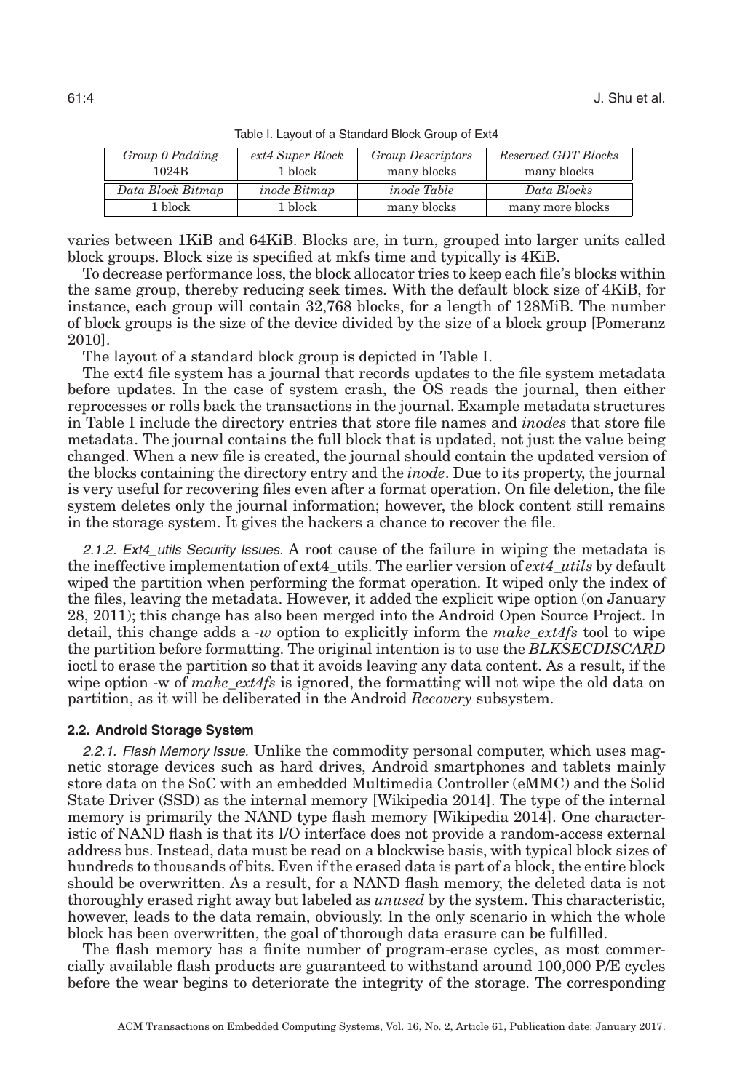<span id="page-3-0"></span>

| Group 0 Padding   | ext4 Super Block | <b>Group Descriptors</b> | Reserved GDT Blocks |
|-------------------|------------------|--------------------------|---------------------|
| 1024B             | 1 block          | many blocks              | many blocks         |
| Data Block Bitmap | inode Bitmap     | <i>inode Table</i>       | Data Blocks         |
| 1 block-          | 1 block-         | many blocks              | many more blocks    |
|                   |                  |                          |                     |

Table I. Layout of a Standard Block Group of Ext4

varies between 1KiB and 64KiB. Blocks are, in turn, grouped into larger units called block groups. Block size is specified at mkfs time and typically is 4KiB.

To decrease performance loss, the block allocator tries to keep each file's blocks within the same group, thereby reducing seek times. With the default block size of 4KiB, for instance, each group will contain 32,768 blocks, for a length of 128MiB. The number of block groups is the size of the device divided by the size of a block group [Pomeranz [2010\]](#page-20-8).

The layout of a standard block group is depicted in Table [I.](#page-3-0)

The ext4 file system has a journal that records updates to the file system metadata before updates. In the case of system crash, the OS reads the journal, then either reprocesses or rolls back the transactions in the journal. Example metadata structures in Table [I](#page-3-0) include the directory entries that store file names and *inodes* that store file metadata. The journal contains the full block that is updated, not just the value being changed. When a new file is created, the journal should contain the updated version of the blocks containing the directory entry and the *inode*. Due to its property, the journal is very useful for recovering files even after a format operation. On file deletion, the file system deletes only the journal information; however, the block content still remains in the storage system. It gives the hackers a chance to recover the file.

2.1.2. Ext4\_utils Security Issues. A root cause of the failure in wiping the metadata is the ineffective implementation of ext4\_utils. The earlier version of *ext4\_utils* by default wiped the partition when performing the format operation. It wiped only the index of the files, leaving the metadata. However, it added the explicit wipe option (on January 28, 2011); this change has also been merged into the Android Open Source Project. In detail, this change adds a *-w* option to explicitly inform the *make\_ext4fs* tool to wipe the partition before formatting. The original intention is to use the *BLKSECDISCARD* ioctl to erase the partition so that it avoids leaving any data content. As a result, if the wipe option -w of *make ext4fs* is ignored, the formatting will not wipe the old data on partition, as it will be deliberated in the Android *Recovery* subsystem.

#### **2.2. Android Storage System**

2.2.1. Flash Memory Issue. Unlike the commodity personal computer, which uses magnetic storage devices such as hard drives, Android smartphones and tablets mainly store data on the SoC with an embedded Multimedia Controller (eMMC) and the Solid State Driver (SSD) as the internal memory [Wikipedia [2014\]](#page-20-9). The type of the internal memory is primarily the NAND type flash memory [Wikipedia [2014\]](#page-21-2). One characteristic of NAND flash is that its I/O interface does not provide a random-access external address bus. Instead, data must be read on a blockwise basis, with typical block sizes of hundreds to thousands of bits. Even if the erased data is part of a block, the entire block should be overwritten. As a result, for a NAND flash memory, the deleted data is not thoroughly erased right away but labeled as *unused* by the system. This characteristic, however, leads to the data remain, obviously. In the only scenario in which the whole block has been overwritten, the goal of thorough data erasure can be fulfilled.

The flash memory has a finite number of program-erase cycles, as most commercially available flash products are guaranteed to withstand around 100,000 P/E cycles before the wear begins to deteriorate the integrity of the storage. The corresponding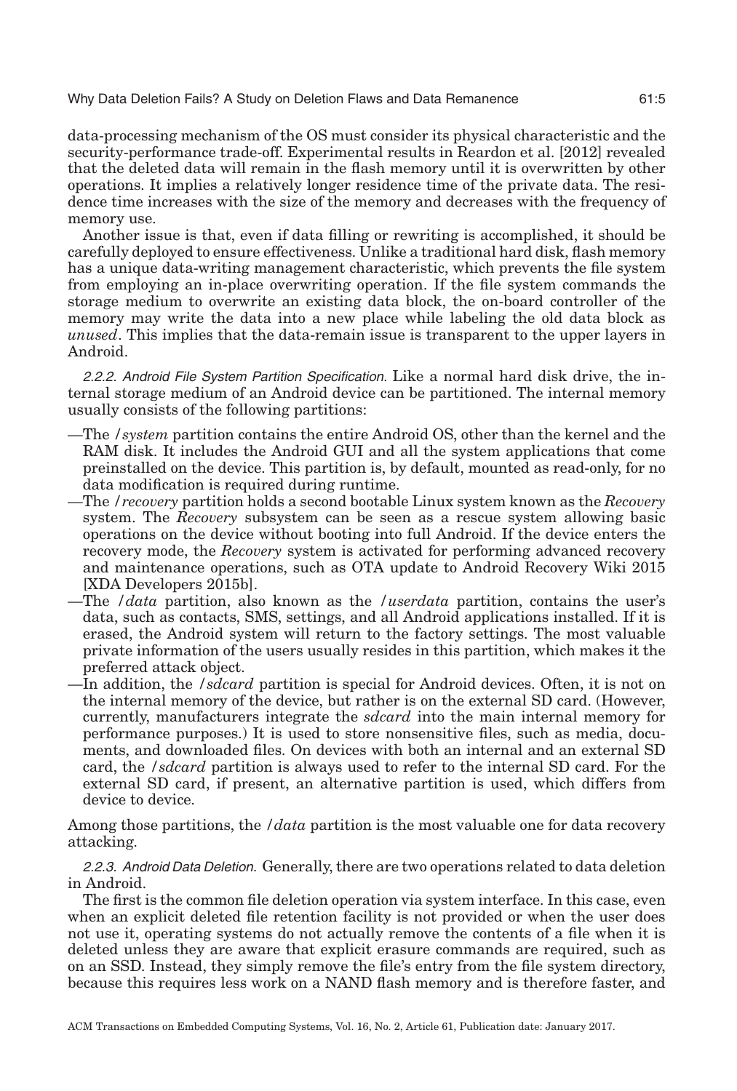data-processing mechanism of the OS must consider its physical characteristic and the security-performance trade-off. Experimental results in Reardon et al. [\[2012\]](#page-20-3) revealed that the deleted data will remain in the flash memory until it is overwritten by other operations. It implies a relatively longer residence time of the private data. The residence time increases with the size of the memory and decreases with the frequency of memory use.

Another issue is that, even if data filling or rewriting is accomplished, it should be carefully deployed to ensure effectiveness. Unlike a traditional hard disk, flash memory has a unique data-writing management characteristic, which prevents the file system from employing an in-place overwriting operation. If the file system commands the storage medium to overwrite an existing data block, the on-board controller of the memory may write the data into a new place while labeling the old data block as *unused*. This implies that the data-remain issue is transparent to the upper layers in Android.

2.2.2. Android File System Partition Specification. Like a normal hard disk drive, the internal storage medium of an Android device can be partitioned. The internal memory usually consists of the following partitions:

- —The */system* partition contains the entire Android OS, other than the kernel and the RAM disk. It includes the Android GUI and all the system applications that come preinstalled on the device. This partition is, by default, mounted as read-only, for no data modification is required during runtime.
- —The */recovery* partition holds a second bootable Linux system known as the *Recovery* system. The *Recovery* subsystem can be seen as a rescue system allowing basic operations on the device without booting into full Android. If the device enters the recovery mode, the *Recovery* system is activated for performing advanced recovery and maintenance operations, such as OTA update to Android Recovery Wiki 2015 [XDA Developers [2015b\]](#page-21-3).
- —The */data* partition, also known as the */userdata* partition, contains the user's data, such as contacts, SMS, settings, and all Android applications installed. If it is erased, the Android system will return to the factory settings. The most valuable private information of the users usually resides in this partition, which makes it the preferred attack object.
- —In addition, the */sdcard* partition is special for Android devices. Often, it is not on the internal memory of the device, but rather is on the external SD card. (However, currently, manufacturers integrate the *sdcard* into the main internal memory for performance purposes.) It is used to store nonsensitive files, such as media, documents, and downloaded files. On devices with both an internal and an external SD card, the */sdcard* partition is always used to refer to the internal SD card. For the external SD card, if present, an alternative partition is used, which differs from device to device.

Among those partitions, the */data* partition is the most valuable one for data recovery attacking.

2.2.3. Android Data Deletion. Generally, there are two operations related to data deletion in Android.

The first is the common file deletion operation via system interface. In this case, even when an explicit deleted file retention facility is not provided or when the user does not use it, operating systems do not actually remove the contents of a file when it is deleted unless they are aware that explicit erasure commands are required, such as on an SSD. Instead, they simply remove the file's entry from the file system directory, because this requires less work on a NAND flash memory and is therefore faster, and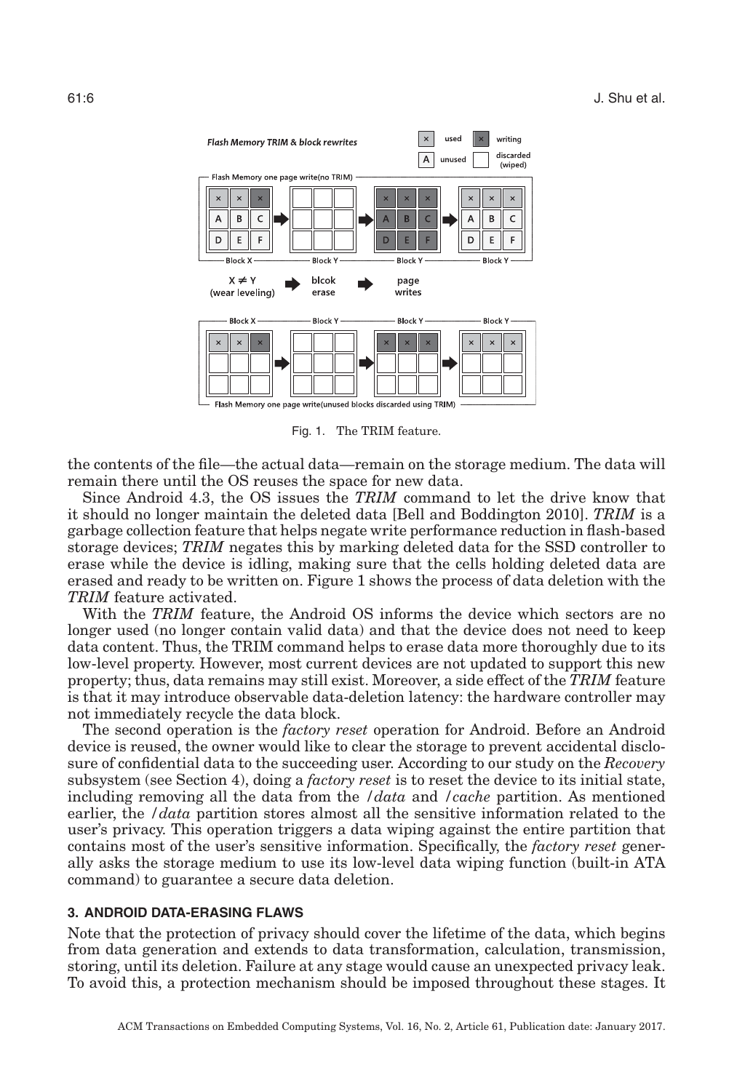<span id="page-5-1"></span>

Fig. 1. The TRIM feature.

the contents of the file—the actual data—remain on the storage medium. The data will remain there until the OS reuses the space for new data.

Since Android 4.3, the OS issues the *TRIM* command to let the drive know that it should no longer maintain the deleted data [Bell and Boddington [2010\]](#page-19-9). *TRIM* is a garbage collection feature that helps negate write performance reduction in flash-based storage devices; *TRIM* negates this by marking deleted data for the SSD controller to erase while the device is idling, making sure that the cells holding deleted data are erased and ready to be written on. Figure [1](#page-5-1) shows the process of data deletion with the *TRIM* feature activated.

With the *TRIM* feature, the Android OS informs the device which sectors are no longer used (no longer contain valid data) and that the device does not need to keep data content. Thus, the TRIM command helps to erase data more thoroughly due to its low-level property. However, most current devices are not updated to support this new property; thus, data remains may still exist. Moreover, a side effect of the *TRIM* feature is that it may introduce observable data-deletion latency: the hardware controller may not immediately recycle the data block.

The second operation is the *factory reset* operation for Android. Before an Android device is reused, the owner would like to clear the storage to prevent accidental disclosure of confidential data to the succeeding user. According to our study on the *Recovery* subsystem (see Section [4\)](#page-8-0), doing a *factory reset* is to reset the device to its initial state, including removing all the data from the */data* and */cache* partition. As mentioned earlier, the */data* partition stores almost all the sensitive information related to the user's privacy. This operation triggers a data wiping against the entire partition that contains most of the user's sensitive information. Specifically, the *factory reset* generally asks the storage medium to use its low-level data wiping function (built-in ATA command) to guarantee a secure data deletion.

#### **3. ANDROID DATA-ERASING FLAWS**

<span id="page-5-0"></span>Note that the protection of privacy should cover the lifetime of the data, which begins from data generation and extends to data transformation, calculation, transmission, storing, until its deletion. Failure at any stage would cause an unexpected privacy leak. To avoid this, a protection mechanism should be imposed throughout these stages. It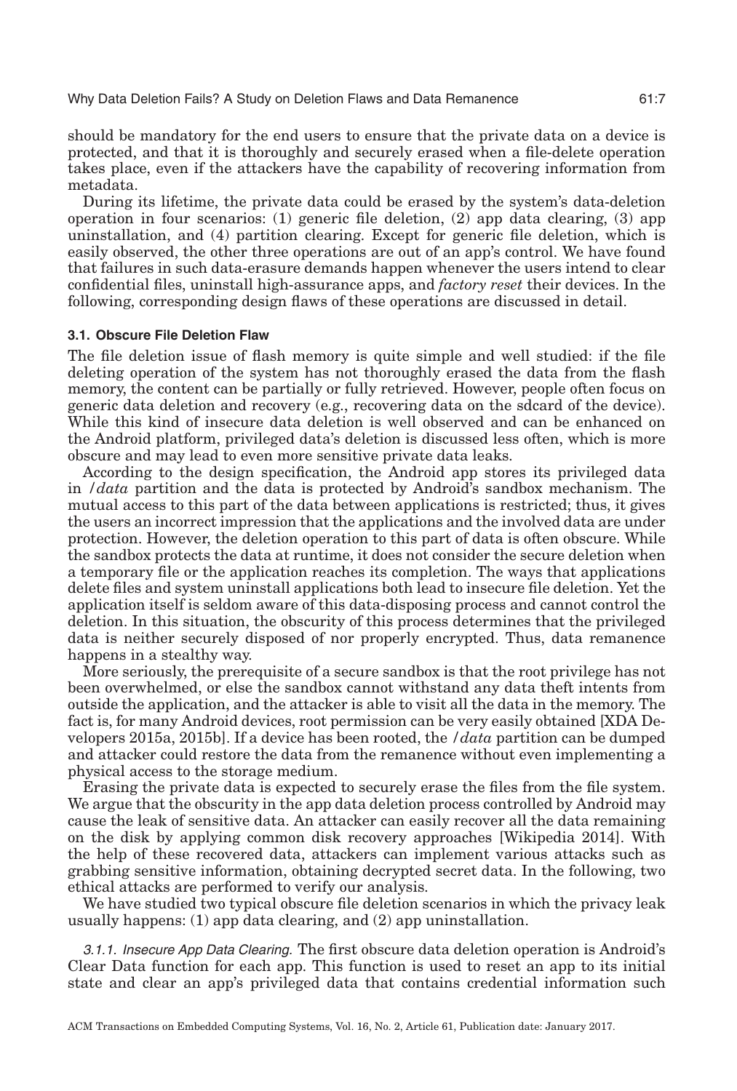should be mandatory for the end users to ensure that the private data on a device is protected, and that it is thoroughly and securely erased when a file-delete operation takes place, even if the attackers have the capability of recovering information from metadata.

During its lifetime, the private data could be erased by the system's data-deletion operation in four scenarios: (1) generic file deletion, (2) app data clearing, (3) app uninstallation, and (4) partition clearing. Except for generic file deletion, which is easily observed, the other three operations are out of an app's control. We have found that failures in such data-erasure demands happen whenever the users intend to clear confidential files, uninstall high-assurance apps, and *factory reset* their devices. In the following, corresponding design flaws of these operations are discussed in detail.

#### **3.1. Obscure File Deletion Flaw**

The file deletion issue of flash memory is quite simple and well studied: if the file deleting operation of the system has not thoroughly erased the data from the flash memory, the content can be partially or fully retrieved. However, people often focus on generic data deletion and recovery (e.g., recovering data on the sdcard of the device). While this kind of insecure data deletion is well observed and can be enhanced on the Android platform, privileged data's deletion is discussed less often, which is more obscure and may lead to even more sensitive private data leaks.

According to the design specification, the Android app stores its privileged data in */data* partition and the data is protected by Android's sandbox mechanism. The mutual access to this part of the data between applications is restricted; thus, it gives the users an incorrect impression that the applications and the involved data are under protection. However, the deletion operation to this part of data is often obscure. While the sandbox protects the data at runtime, it does not consider the secure deletion when a temporary file or the application reaches its completion. The ways that applications delete files and system uninstall applications both lead to insecure file deletion. Yet the application itself is seldom aware of this data-disposing process and cannot control the deletion. In this situation, the obscurity of this process determines that the privileged data is neither securely disposed of nor properly encrypted. Thus, data remanence happens in a stealthy way.

More seriously, the prerequisite of a secure sandbox is that the root privilege has not been overwhelmed, or else the sandbox cannot withstand any data theft intents from outside the application, and the attacker is able to visit all the data in the memory. The fact is, for many Android devices, root permission can be very easily obtained [XDA Developers [2015a,](#page-21-4) 2015b]. If a device has been rooted, the */data* partition can be dumped and attacker could restore the data from the remanence without even implementing a physical access to the storage medium.

Erasing the private data is expected to securely erase the files from the file system. We argue that the obscurity in the app data deletion process controlled by Android may cause the leak of sensitive data. An attacker can easily recover all the data remaining on the disk by applying common disk recovery approaches [Wikipedia [2014\]](#page-20-10). With the help of these recovered data, attackers can implement various attacks such as grabbing sensitive information, obtaining decrypted secret data. In the following, two ethical attacks are performed to verify our analysis.

We have studied two typical obscure file deletion scenarios in which the privacy leak usually happens: (1) app data clearing, and (2) app uninstallation.

3.1.1. Insecure App Data Clearing. The first obscure data deletion operation is Android's Clear Data function for each app. This function is used to reset an app to its initial state and clear an app's privileged data that contains credential information such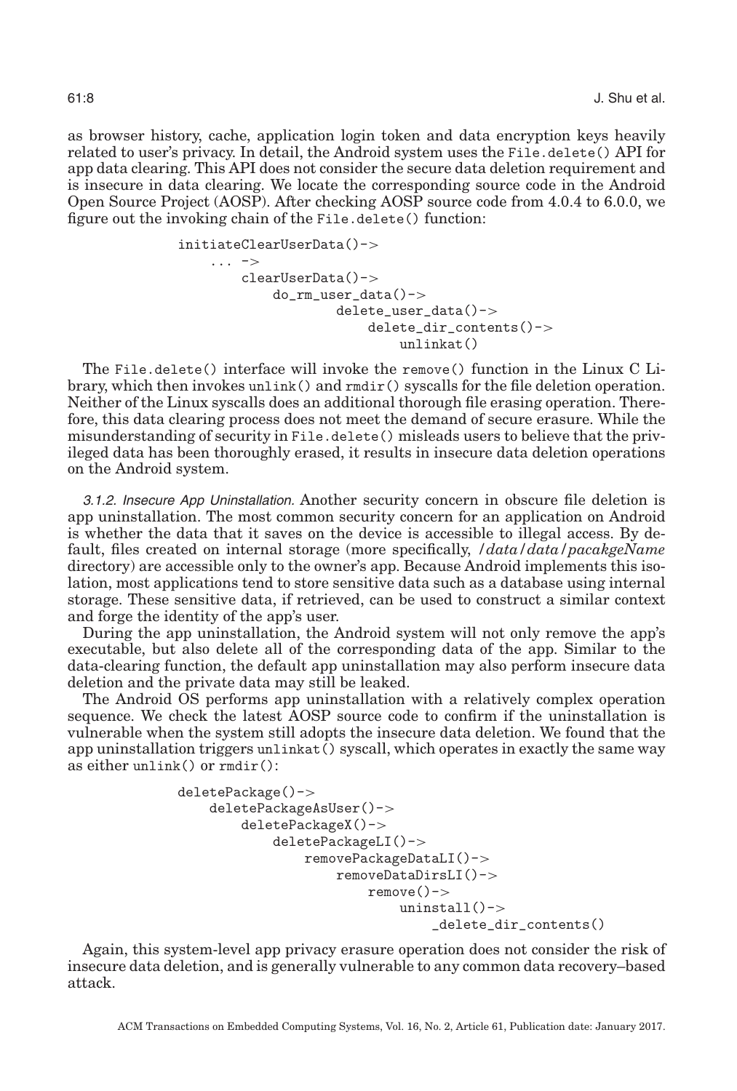as browser history, cache, application login token and data encryption keys heavily related to user's privacy. In detail, the Android system uses the File.delete() API for app data clearing. This API does not consider the secure data deletion requirement and is insecure in data clearing. We locate the corresponding source code in the Android Open Source Project (AOSP). After checking AOSP source code from 4.0.4 to 6.0.0, we figure out the invoking chain of the File.delete() function:

```
initiateClearUserData()->
... ->
   clearUserData()->
        do_rm_user_data()->
                delete_user_data()->
                    delete dir contents()->unlinkat()
```
The File.delete() interface will invoke the remove() function in the Linux C Library, which then invokes unlink() and rmdir() syscalls for the file deletion operation. Neither of the Linux syscalls does an additional thorough file erasing operation. Therefore, this data clearing process does not meet the demand of secure erasure. While the misunderstanding of security in File.delete() misleads users to believe that the privileged data has been thoroughly erased, it results in insecure data deletion operations on the Android system.

3.1.2. Insecure App Uninstallation. Another security concern in obscure file deletion is app uninstallation. The most common security concern for an application on Android is whether the data that it saves on the device is accessible to illegal access. By default, files created on internal storage (more specifically, */data/data/pacakgeName* directory) are accessible only to the owner's app. Because Android implements this isolation, most applications tend to store sensitive data such as a database using internal storage. These sensitive data, if retrieved, can be used to construct a similar context and forge the identity of the app's user.

During the app uninstallation, the Android system will not only remove the app's executable, but also delete all of the corresponding data of the app. Similar to the data-clearing function, the default app uninstallation may also perform insecure data deletion and the private data may still be leaked.

The Android OS performs app uninstallation with a relatively complex operation sequence. We check the latest AOSP source code to confirm if the uninstallation is vulnerable when the system still adopts the insecure data deletion. We found that the app uninstallation triggers unlinkat() syscall, which operates in exactly the same way as either unlink() or rmdir():

```
deletePackage()->
deletePackageAsUser()->
    deletePackageX()->
        deletePackageLI()->
            removePackageDataLI()->
                removeDataDirsLI()->
                    remove()->
                        uninstall()->_delete_dir_contents()
```
Again, this system-level app privacy erasure operation does not consider the risk of insecure data deletion, and is generally vulnerable to any common data recovery–based attack.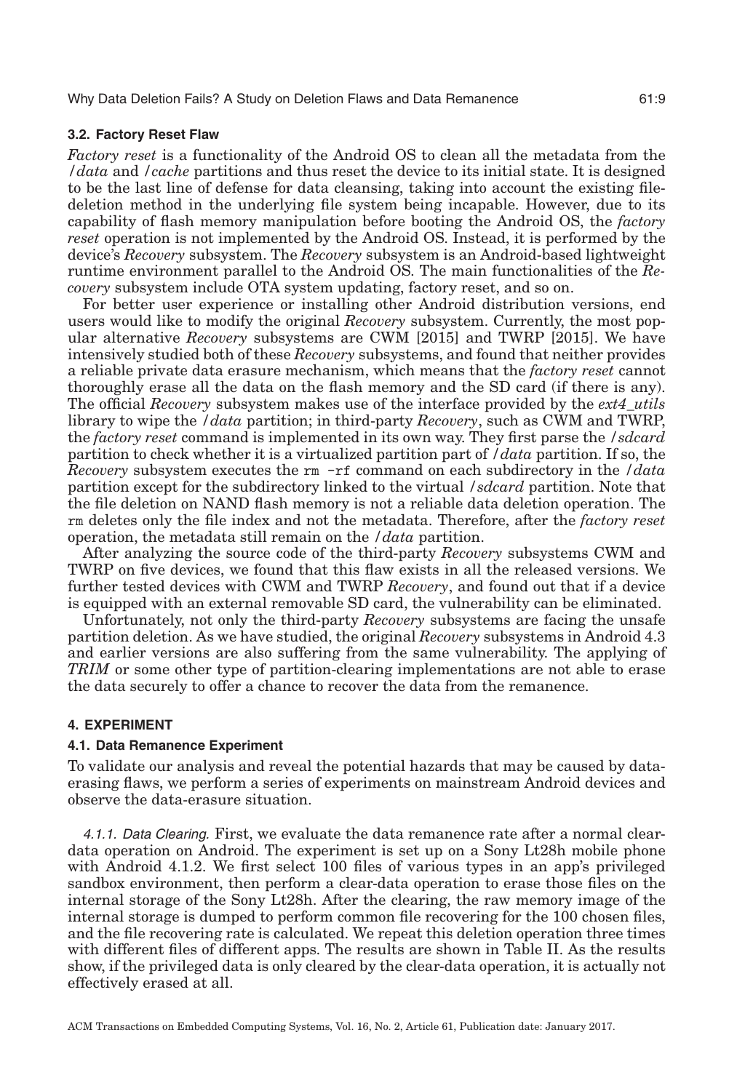#### **3.2. Factory Reset Flaw**

*Factory reset* is a functionality of the Android OS to clean all the metadata from the */data* and */cache* partitions and thus reset the device to its initial state. It is designed to be the last line of defense for data cleansing, taking into account the existing filedeletion method in the underlying file system being incapable. However, due to its capability of flash memory manipulation before booting the Android OS, the *factory reset* operation is not implemented by the Android OS. Instead, it is performed by the device's *Recovery* subsystem. The *Recovery* subsystem is an Android-based lightweight runtime environment parallel to the Android OS. The main functionalities of the *Recovery* subsystem include OTA system updating, factory reset, and so on.

For better user experience or installing other Android distribution versions, end users would like to modify the original *Recovery* subsystem. Currently, the most popular alternative *Recovery* subsystems are CWM [\[2015\]](#page-19-10) and TWRP [\[2015\]](#page-20-11). We have intensively studied both of these *Recovery* subsystems, and found that neither provides a reliable private data erasure mechanism, which means that the *factory reset* cannot thoroughly erase all the data on the flash memory and the SD card (if there is any). The official *Recovery* subsystem makes use of the interface provided by the *ext4\_utils* library to wipe the */data* partition; in third-party *Recovery*, such as CWM and TWRP, the *factory reset* command is implemented in its own way. They first parse the */sdcard* partition to check whether it is a virtualized partition part of */data* partition. If so, the *Recovery* subsystem executes the rm -rf command on each subdirectory in the */data* partition except for the subdirectory linked to the virtual */sdcard* partition. Note that the file deletion on NAND flash memory is not a reliable data deletion operation. The rm deletes only the file index and not the metadata. Therefore, after the *factory reset* operation, the metadata still remain on the */data* partition.

After analyzing the source code of the third-party *Recovery* subsystems CWM and TWRP on five devices, we found that this flaw exists in all the released versions. We further tested devices with CWM and TWRP *Recovery*, and found out that if a device is equipped with an external removable SD card, the vulnerability can be eliminated.

Unfortunately, not only the third-party *Recovery* subsystems are facing the unsafe partition deletion. As we have studied, the original *Recovery* subsystems in Android 4.3 and earlier versions are also suffering from the same vulnerability. The applying of *TRIM* or some other type of partition-clearing implementations are not able to erase the data securely to offer a chance to recover the data from the remanence.

#### **4. EXPERIMENT**

#### <span id="page-8-0"></span>**4.1. Data Remanence Experiment**

To validate our analysis and reveal the potential hazards that may be caused by dataerasing flaws, we perform a series of experiments on mainstream Android devices and observe the data-erasure situation.

4.1.1. Data Clearing. First, we evaluate the data remanence rate after a normal cleardata operation on Android. The experiment is set up on a Sony Lt28h mobile phone with Android 4.1.2. We first select 100 files of various types in an app's privileged sandbox environment, then perform a clear-data operation to erase those files on the internal storage of the Sony Lt28h. After the clearing, the raw memory image of the internal storage is dumped to perform common file recovering for the 100 chosen files, and the file recovering rate is calculated. We repeat this deletion operation three times with different files of different apps. The results are shown in Table [II.](#page-9-0) As the results show, if the privileged data is only cleared by the clear-data operation, it is actually not effectively erased at all.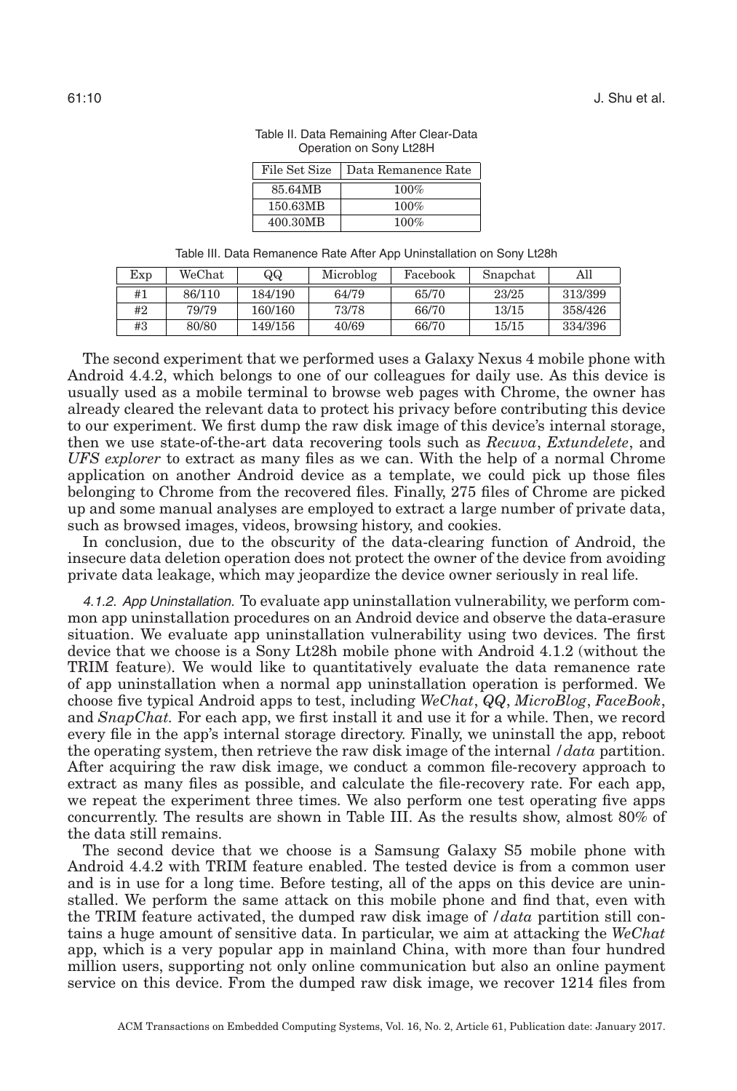| File Set Size | Data Remanence Rate |  |  |
|---------------|---------------------|--|--|
| 85.64MB       | 100%                |  |  |
| 150.63MB      | 100%                |  |  |
| 400.30MB      | 100%                |  |  |

Table II. Data Remaining After Clear-Data Operation on Sony Lt28H

Table III. Data Remanence Rate After App Uninstallation on Sony Lt28h

<span id="page-9-1"></span><span id="page-9-0"></span>

| Exp | WeChat | QQ      | Microblog | Facebook | Snapchat | All     |
|-----|--------|---------|-----------|----------|----------|---------|
| #1  | 86/110 | 184/190 | 64/79     | 65/70    | 23/25    | 313/399 |
| #2  | 79/79  | 160/160 | 73/78     | 66/70    | 13/15    | 358/426 |
| #3  | 80/80  | 149/156 | 40/69     | 66/70    | 15/15    | 334/396 |

The second experiment that we performed uses a Galaxy Nexus 4 mobile phone with Android 4.4.2, which belongs to one of our colleagues for daily use. As this device is usually used as a mobile terminal to browse web pages with Chrome, the owner has already cleared the relevant data to protect his privacy before contributing this device to our experiment. We first dump the raw disk image of this device's internal storage, then we use state-of-the-art data recovering tools such as *Recuva*, *Extundelete*, and *UFS explorer* to extract as many files as we can. With the help of a normal Chrome application on another Android device as a template, we could pick up those files belonging to Chrome from the recovered files. Finally, 275 files of Chrome are picked up and some manual analyses are employed to extract a large number of private data, such as browsed images, videos, browsing history, and cookies.

In conclusion, due to the obscurity of the data-clearing function of Android, the insecure data deletion operation does not protect the owner of the device from avoiding private data leakage, which may jeopardize the device owner seriously in real life.

4.1.2. App Uninstallation. To evaluate app uninstallation vulnerability, we perform common app uninstallation procedures on an Android device and observe the data-erasure situation. We evaluate app uninstallation vulnerability using two devices. The first device that we choose is a Sony Lt28h mobile phone with Android 4.1.2 (without the TRIM feature). We would like to quantitatively evaluate the data remanence rate of app uninstallation when a normal app uninstallation operation is performed. We choose five typical Android apps to test, including *WeChat*, *QQ*, *MicroBlog*, *FaceBook*, and *SnapChat.* For each app, we first install it and use it for a while. Then, we record every file in the app's internal storage directory. Finally, we uninstall the app, reboot the operating system, then retrieve the raw disk image of the internal */data* partition. After acquiring the raw disk image, we conduct a common file-recovery approach to extract as many files as possible, and calculate the file-recovery rate. For each app, we repeat the experiment three times. We also perform one test operating five apps concurrently. The results are shown in Table [III.](#page-9-1) As the results show, almost 80% of the data still remains.

The second device that we choose is a Samsung Galaxy S5 mobile phone with Android 4.4.2 with TRIM feature enabled. The tested device is from a common user and is in use for a long time. Before testing, all of the apps on this device are uninstalled. We perform the same attack on this mobile phone and find that, even with the TRIM feature activated, the dumped raw disk image of */data* partition still contains a huge amount of sensitive data. In particular, we aim at attacking the *WeChat* app, which is a very popular app in mainland China, with more than four hundred million users, supporting not only online communication but also an online payment service on this device. From the dumped raw disk image, we recover 1214 files from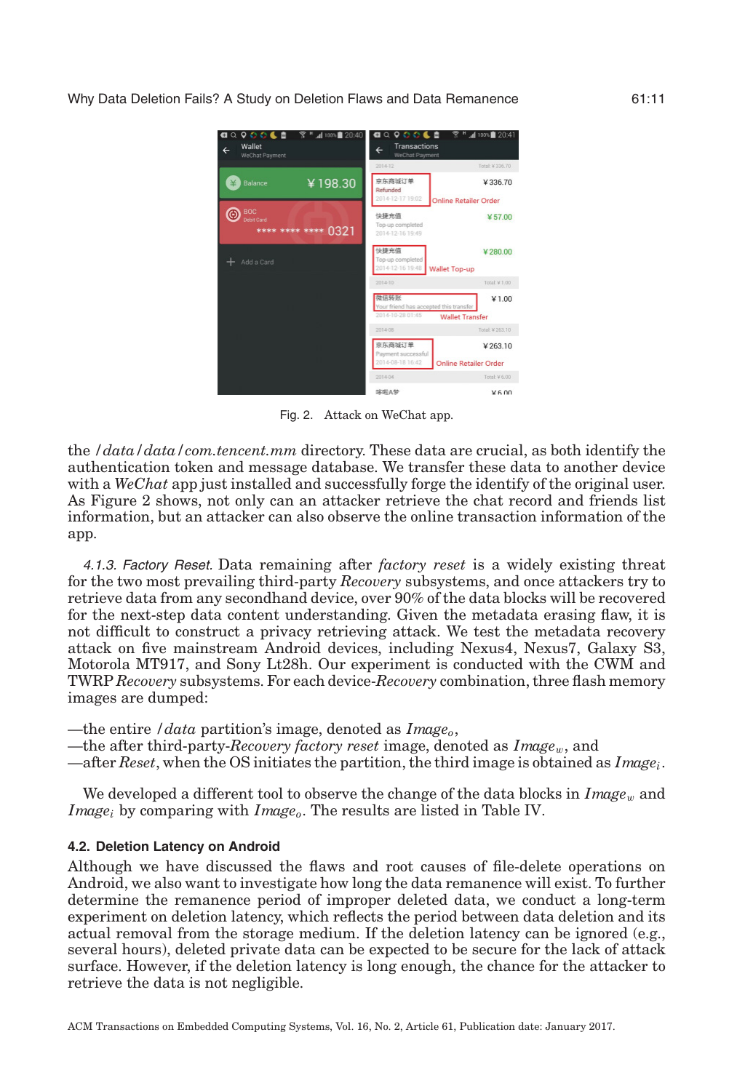<span id="page-10-0"></span>

Fig. 2. Attack on WeChat app.

the */data/data/com.tencent.mm* directory. These data are crucial, as both identify the authentication token and message database. We transfer these data to another device with a *WeChat* app just installed and successfully forge the identify of the original user. As Figure [2](#page-10-0) shows, not only can an attacker retrieve the chat record and friends list information, but an attacker can also observe the online transaction information of the app.

4.1.3. Factory Reset. Data remaining after *factory reset* is a widely existing threat for the two most prevailing third-party *Recovery* subsystems, and once attackers try to retrieve data from any secondhand device, over 90% of the data blocks will be recovered for the next-step data content understanding. Given the metadata erasing flaw, it is not difficult to construct a privacy retrieving attack. We test the metadata recovery attack on five mainstream Android devices, including Nexus4, Nexus7, Galaxy S3, Motorola MT917, and Sony Lt28h. Our experiment is conducted with the CWM and TWRP *Recovery* subsystems. For each device-*Recovery* combination, three flash memory images are dumped:

—the entire */data* partition's image, denoted as *Image*<sub>o</sub>,

—the after third-party-*Recovery factory reset* image, denoted as *Image*w, and

—after *Reset*, when the OS initiates the partition, the third image is obtained as *Imagei*.

We developed a different tool to observe the change of the data blocks in  $Image_w$  and *Image<sub>i</sub>* by comparing with *Image<sub>o</sub>*. The results are listed in Table [IV.](#page-11-0)

# **4.2. Deletion Latency on Android**

Although we have discussed the flaws and root causes of file-delete operations on Android, we also want to investigate how long the data remanence will exist. To further determine the remanence period of improper deleted data, we conduct a long-term experiment on deletion latency, which reflects the period between data deletion and its actual removal from the storage medium. If the deletion latency can be ignored (e.g., several hours), deleted private data can be expected to be secure for the lack of attack surface. However, if the deletion latency is long enough, the chance for the attacker to retrieve the data is not negligible.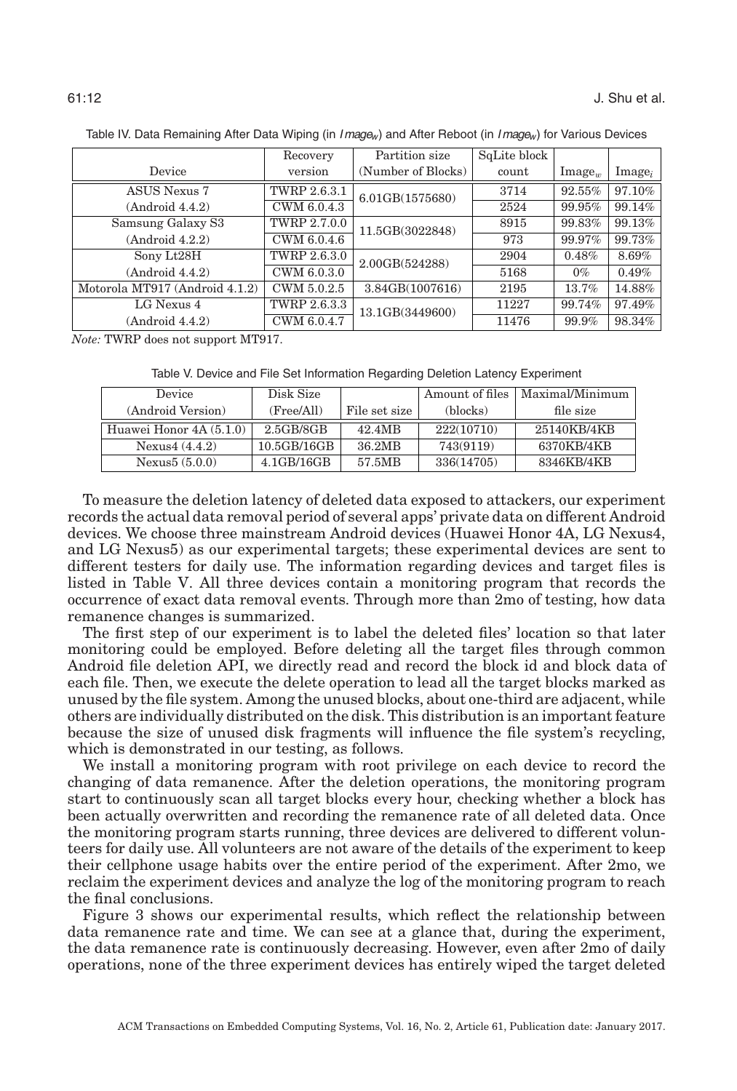<span id="page-11-0"></span>

|                                | Recovery            | Partition size     | SqLite block |                  |           |
|--------------------------------|---------------------|--------------------|--------------|------------------|-----------|
| Device                         | version             | (Number of Blocks) | count        | $\text{Image}_w$ | $Image_i$ |
| <b>ASUS Nexus 7</b>            | <b>TWRP 2.6.3.1</b> | 6.01GB(1575680)    | 3714         | 92.55%           | 97.10%    |
| (Android 4.4.2)                | CWM 6.0.4.3         |                    | 2524         | 99.95%           | 99.14%    |
| Samsung Galaxy S3              | TWRP 2.7.0.0        | 11.5GB(3022848)    | 8915         | 99.83%           | 99.13%    |
| (Android 4.2.2)                | CWM 6.0.4.6         |                    | 973          | 99.97%           | 99.73%    |
| Sony Lt28H                     | TWRP 2.6.3.0        | 2.00GB(524288)     | 2904         | 0.48%            | 8.69%     |
| (Android 4.4.2)                | CWM 6.0.3.0         |                    | 5168         | $0\%$            | 0.49%     |
| Motorola MT917 (Android 4.1.2) | CWM 5.0.2.5         | 3.84GB(1007616)    | 2195         | 13.7%            | 14.88%    |
| LG Nexus 4                     | TWRP 2.6.3.3        | 13.1GB(3449600)    | 11227        | 99.74%           | 97.49%    |
| (Android 4.4.2)                | CWM 6.0.4.7         |                    | 11476        | 99.9%            | 98.34%    |

Table IV. Data Remaining After Data Wiping (in  $Image_w$ ) and After Reboot (in  $Image_w$ ) for Various Devices

*Note:* TWRP does not support MT917.

Table V. Device and File Set Information Regarding Deletion Latency Experiment

<span id="page-11-1"></span>

| Device                   | Disk Size    |               | Amount of files | Maximal/Minimum |
|--------------------------|--------------|---------------|-----------------|-----------------|
| (Android Version)        | (Free/All)   | File set size | (blocks)        | file size       |
| Huawei Honor $4A(5.1.0)$ | $2.5$ GB/8GB | 42.4MB        | 222(10710)      | 25140KB/4KB     |
| Nexus $4(4.4.2)$         | 10.5GB/16GB  | 36.2MB        | 743(9119)       | 6370KB/4KB      |
| Nexus $5(5.0.0)$         | 4.1GB/16GB   | 57.5MB        | 336(14705)      | 8346KB/4KB      |

To measure the deletion latency of deleted data exposed to attackers, our experiment records the actual data removal period of several apps' private data on different Android devices. We choose three mainstream Android devices (Huawei Honor 4A, LG Nexus4, and LG Nexus5) as our experimental targets; these experimental devices are sent to different testers for daily use. The information regarding devices and target files is listed in Table [V.](#page-11-1) All three devices contain a monitoring program that records the occurrence of exact data removal events. Through more than 2mo of testing, how data remanence changes is summarized.

The first step of our experiment is to label the deleted files' location so that later monitoring could be employed. Before deleting all the target files through common Android file deletion API, we directly read and record the block id and block data of each file. Then, we execute the delete operation to lead all the target blocks marked as unused by the file system. Among the unused blocks, about one-third are adjacent, while others are individually distributed on the disk. This distribution is an important feature because the size of unused disk fragments will influence the file system's recycling, which is demonstrated in our testing, as follows.

We install a monitoring program with root privilege on each device to record the changing of data remanence. After the deletion operations, the monitoring program start to continuously scan all target blocks every hour, checking whether a block has been actually overwritten and recording the remanence rate of all deleted data. Once the monitoring program starts running, three devices are delivered to different volunteers for daily use. All volunteers are not aware of the details of the experiment to keep their cellphone usage habits over the entire period of the experiment. After 2mo, we reclaim the experiment devices and analyze the log of the monitoring program to reach the final conclusions.

Figure [3](#page-12-0) shows our experimental results, which reflect the relationship between data remanence rate and time. We can see at a glance that, during the experiment, the data remanence rate is continuously decreasing. However, even after 2mo of daily operations, none of the three experiment devices has entirely wiped the target deleted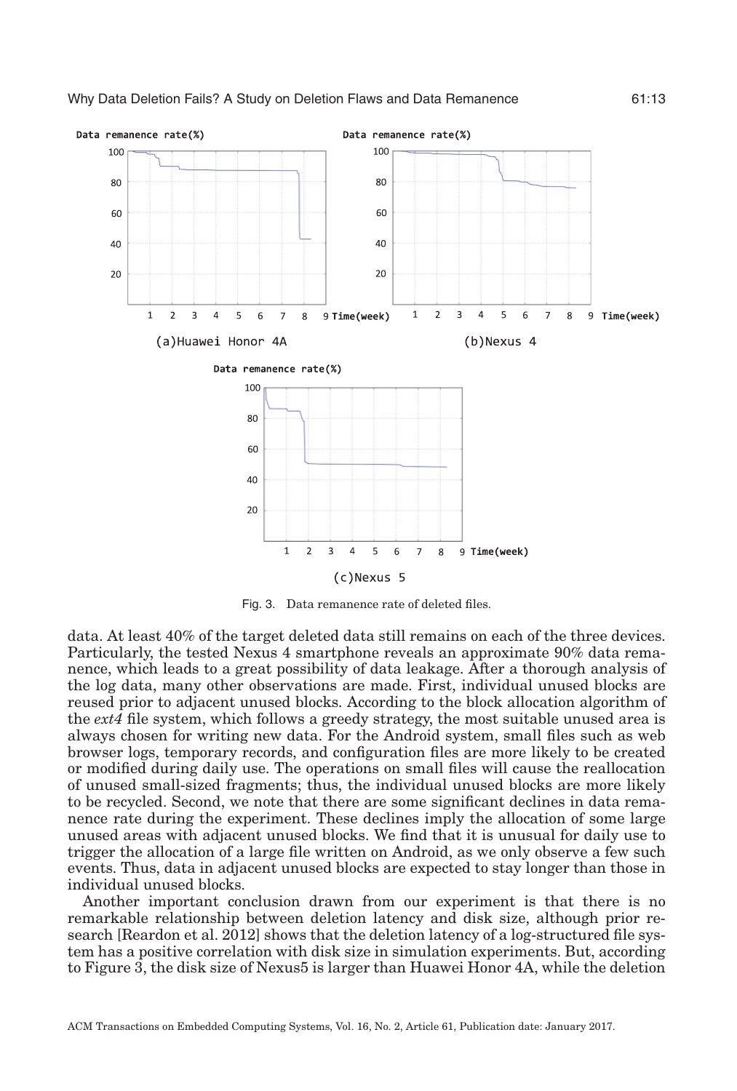<span id="page-12-0"></span>

Fig. 3. Data remanence rate of deleted files.

data. At least 40% of the target deleted data still remains on each of the three devices. Particularly, the tested Nexus 4 smartphone reveals an approximate 90% data remanence, which leads to a great possibility of data leakage. After a thorough analysis of the log data, many other observations are made. First, individual unused blocks are reused prior to adjacent unused blocks. According to the block allocation algorithm of the *ext4* file system, which follows a greedy strategy, the most suitable unused area is always chosen for writing new data. For the Android system, small files such as web browser logs, temporary records, and configuration files are more likely to be created or modified during daily use. The operations on small files will cause the reallocation of unused small-sized fragments; thus, the individual unused blocks are more likely to be recycled. Second, we note that there are some significant declines in data remanence rate during the experiment. These declines imply the allocation of some large unused areas with adjacent unused blocks. We find that it is unusual for daily use to trigger the allocation of a large file written on Android, as we only observe a few such events. Thus, data in adjacent unused blocks are expected to stay longer than those in individual unused blocks.

Another important conclusion drawn from our experiment is that there is no remarkable relationship between deletion latency and disk size, although prior research [Reardon et al. [2012\]](#page-20-3) shows that the deletion latency of a log-structured file system has a positive correlation with disk size in simulation experiments. But, according to Figure [3,](#page-12-0) the disk size of Nexus5 is larger than Huawei Honor 4A, while the deletion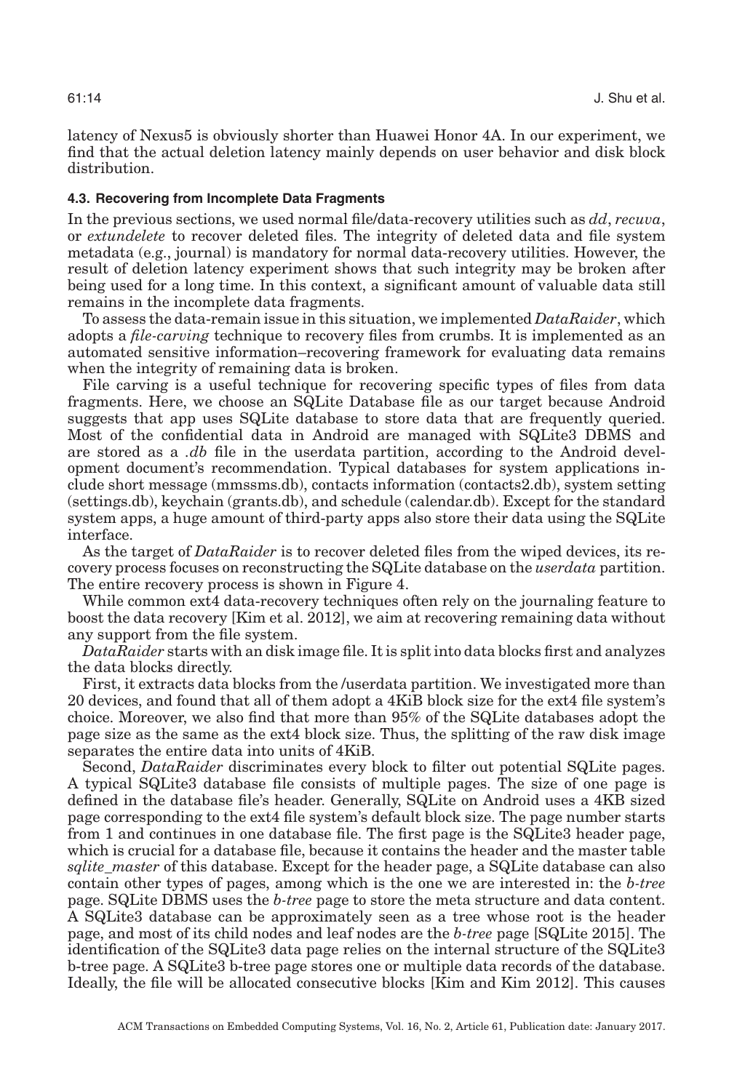latency of Nexus5 is obviously shorter than Huawei Honor 4A. In our experiment, we find that the actual deletion latency mainly depends on user behavior and disk block distribution.

#### **4.3. Recovering from Incomplete Data Fragments**

In the previous sections, we used normal file/data-recovery utilities such as *dd*, *recuva*, or *extundelete* to recover deleted files. The integrity of deleted data and file system metadata (e.g., journal) is mandatory for normal data-recovery utilities. However, the result of deletion latency experiment shows that such integrity may be broken after being used for a long time. In this context, a significant amount of valuable data still remains in the incomplete data fragments.

To assess the data-remain issue in this situation, we implemented *DataRaider*, which adopts a *file-carving* technique to recovery files from crumbs. It is implemented as an automated sensitive information–recovering framework for evaluating data remains when the integrity of remaining data is broken.

File carving is a useful technique for recovering specific types of files from data fragments. Here, we choose an SQLite Database file as our target because Android suggests that app uses SQLite database to store data that are frequently queried. Most of the confidential data in Android are managed with SQLite3 DBMS and are stored as a *.db* file in the userdata partition, according to the Android development document's recommendation. Typical databases for system applications include short message (mmssms.db), contacts information (contacts2.db), system setting (settings.db), keychain (grants.db), and schedule (calendar.db). Except for the standard system apps, a huge amount of third-party apps also store their data using the SQLite interface.

As the target of *DataRaider* is to recover deleted files from the wiped devices, its recovery process focuses on reconstructing the SQLite database on the *userdata* partition. The entire recovery process is shown in Figure [4.](#page-14-0)

While common ext4 data-recovery techniques often rely on the journaling feature to boost the data recovery [Kim et al. [2012\]](#page-20-12), we aim at recovering remaining data without any support from the file system.

*DataRaider* starts with an disk image file. It is split into data blocks first and analyzes the data blocks directly.

First, it extracts data blocks from the /userdata partition. We investigated more than 20 devices, and found that all of them adopt a 4KiB block size for the ext4 file system's choice. Moreover, we also find that more than 95% of the SQLite databases adopt the page size as the same as the ext4 block size. Thus, the splitting of the raw disk image separates the entire data into units of 4KiB.

Second, *DataRaider* discriminates every block to filter out potential SQLite pages. A typical SQLite3 database file consists of multiple pages. The size of one page is defined in the database file's header. Generally, SQLite on Android uses a 4KB sized page corresponding to the ext4 file system's default block size. The page number starts from 1 and continues in one database file. The first page is the SQLite3 header page, which is crucial for a database file, because it contains the header and the master table *sqlite\_master* of this database. Except for the header page, a SQLite database can also contain other types of pages, among which is the one we are interested in: the *b-tree* page. SQLite DBMS uses the *b-tree* page to store the meta structure and data content. A SQLite3 database can be approximately seen as a tree whose root is the header page, and most of its child nodes and leaf nodes are the *b-tree* page [SQLite [2015\]](#page-20-13). The identification of the SQLite3 data page relies on the internal structure of the SQLite3 b-tree page. A SQLite3 b-tree page stores one or multiple data records of the database. Ideally, the file will be allocated consecutive blocks [Kim and Kim [2012\]](#page-20-14). This causes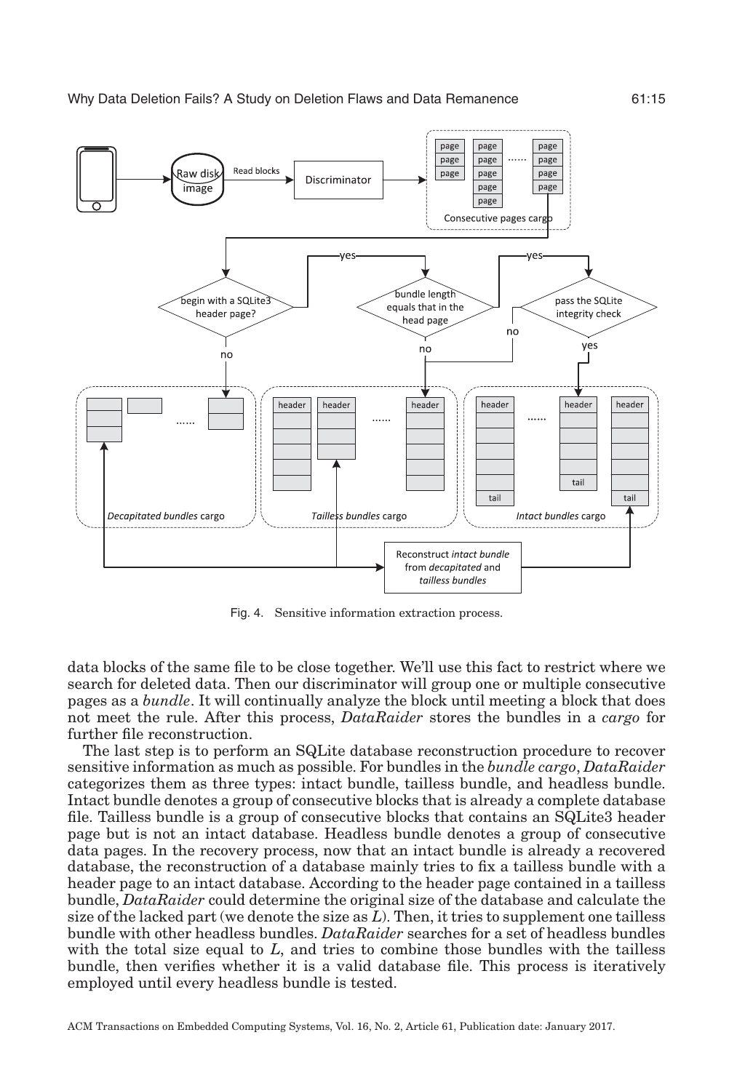<span id="page-14-0"></span>

Fig. 4. Sensitive information extraction process.

data blocks of the same file to be close together. We'll use this fact to restrict where we search for deleted data. Then our discriminator will group one or multiple consecutive pages as a *bundle*. It will continually analyze the block until meeting a block that does not meet the rule. After this process, *DataRaider* stores the bundles in a *cargo* for further file reconstruction.

The last step is to perform an SQLite database reconstruction procedure to recover sensitive information as much as possible. For bundles in the *bundle cargo*, *DataRaider* categorizes them as three types: intact bundle, tailless bundle, and headless bundle. Intact bundle denotes a group of consecutive blocks that is already a complete database file. Tailless bundle is a group of consecutive blocks that contains an SQLite3 header page but is not an intact database. Headless bundle denotes a group of consecutive data pages. In the recovery process, now that an intact bundle is already a recovered database, the reconstruction of a database mainly tries to fix a tailless bundle with a header page to an intact database. According to the header page contained in a tailless bundle, *DataRaider* could determine the original size of the database and calculate the size of the lacked part (we denote the size as *L*). Then, it tries to supplement one tailless bundle with other headless bundles. *DataRaider* searches for a set of headless bundles with the total size equal to *L*, and tries to combine those bundles with the tailless bundle, then verifies whether it is a valid database file. This process is iteratively employed until every headless bundle is tested.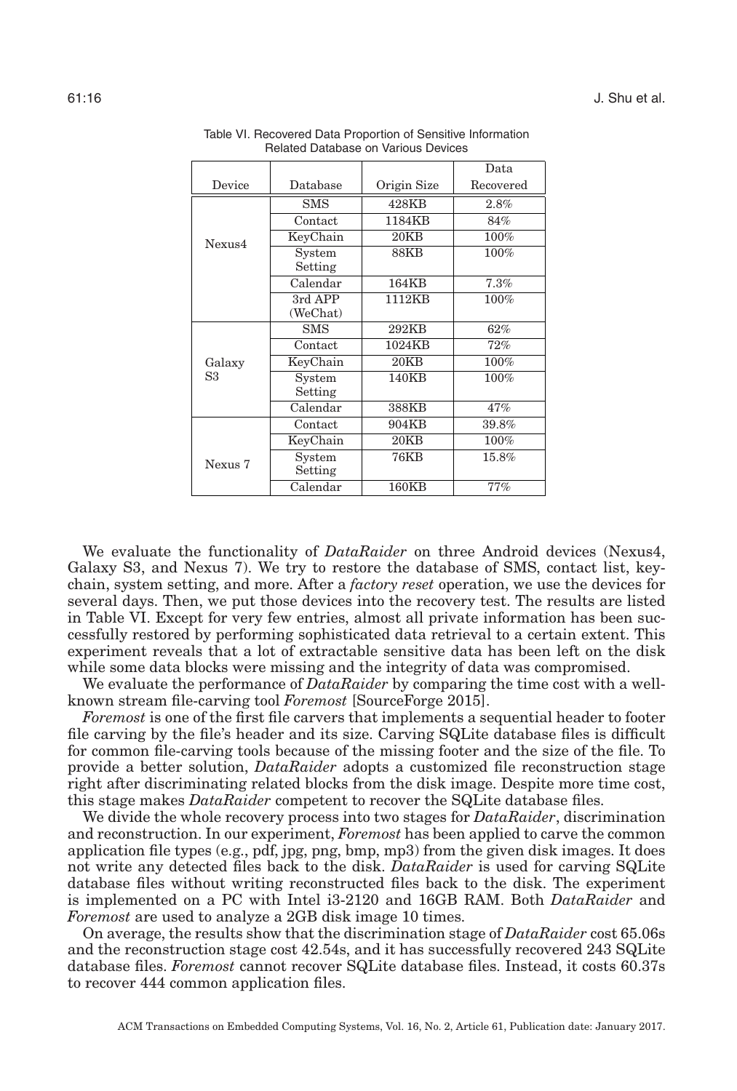<span id="page-15-0"></span>

|         |                     |             | Data      |
|---------|---------------------|-------------|-----------|
| Device  | Database            | Origin Size | Recovered |
|         | SMS                 | 428KB       | 2.8%      |
|         | Contact             | 1184KB      | 84%       |
| Nexus4  | KeyChain            | 20KB        | 100%      |
|         | System<br>Setting   | 88KB        | 100%      |
|         | Calendar            | 164KB       | 7.3%      |
|         | 3rd APP<br>(WeChat) | 1112KB      | 100%      |
|         | <b>SMS</b>          | 292KB       | 62%       |
|         | Contact             | 1024KB      | 72%       |
| Galaxy  | KeyChain            | 20KB        | 100%      |
| S3      | System<br>Setting   | 140KB       | 100%      |
|         | Calendar            | 388KB       | 47%       |
|         | Contact             | 904KB       | 39.8%     |
|         | KeyChain            | 20KB        | $100\%$   |
| Nexus 7 | System<br>Setting   | <b>76KB</b> | 15.8%     |
|         | Calendar            | 160KB       | 77%       |

Table VI. Recovered Data Proportion of Sensitive Information Related Database on Various Devices

We evaluate the functionality of *DataRaider* on three Android devices (Nexus4, Galaxy S3, and Nexus 7). We try to restore the database of SMS, contact list, keychain, system setting, and more. After a *factory reset* operation, we use the devices for several days. Then, we put those devices into the recovery test. The results are listed in Table [VI.](#page-15-0) Except for very few entries, almost all private information has been successfully restored by performing sophisticated data retrieval to a certain extent. This experiment reveals that a lot of extractable sensitive data has been left on the disk while some data blocks were missing and the integrity of data was compromised.

We evaluate the performance of *DataRaider* by comparing the time cost with a wellknown stream file-carving tool *Foremost* [SourceForge [2015\]](#page-20-15).

*Foremost* is one of the first file carvers that implements a sequential header to footer file carving by the file's header and its size. Carving SQLite database files is difficult for common file-carving tools because of the missing footer and the size of the file. To provide a better solution, *DataRaider* adopts a customized file reconstruction stage right after discriminating related blocks from the disk image. Despite more time cost, this stage makes *DataRaider* competent to recover the SQLite database files.

We divide the whole recovery process into two stages for *DataRaider*, discrimination and reconstruction. In our experiment, *Foremost* has been applied to carve the common application file types (e.g., pdf, jpg, png, bmp, mp3) from the given disk images. It does not write any detected files back to the disk. *DataRaider* is used for carving SQLite database files without writing reconstructed files back to the disk. The experiment is implemented on a PC with Intel i3-2120 and 16GB RAM. Both *DataRaider* and *Foremost* are used to analyze a 2GB disk image 10 times.

On average, the results show that the discrimination stage of *DataRaider* cost 65.06s and the reconstruction stage cost 42.54s, and it has successfully recovered 243 SQLite database files. *Foremost* cannot recover SQLite database files. Instead, it costs 60.37s to recover 444 common application files.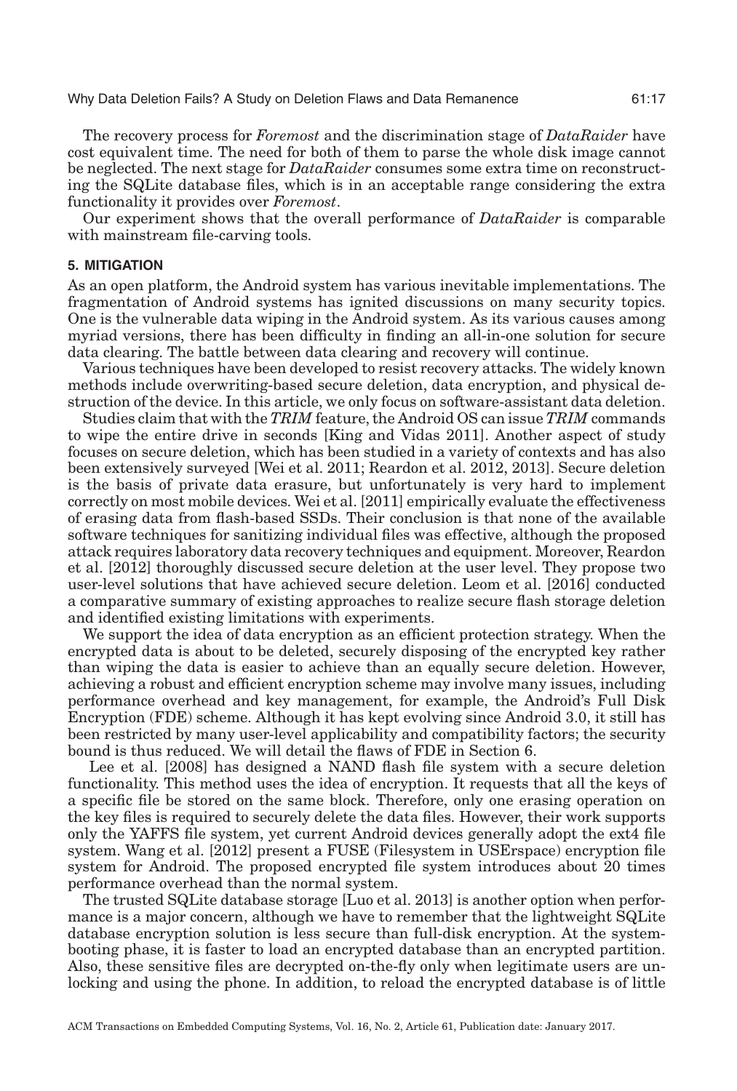The recovery process for *Foremost* and the discrimination stage of *DataRaider* have cost equivalent time. The need for both of them to parse the whole disk image cannot be neglected. The next stage for *DataRaider* consumes some extra time on reconstructing the SQLite database files, which is in an acceptable range considering the extra functionality it provides over *Foremost*.

Our experiment shows that the overall performance of *DataRaider* is comparable with mainstream file-carving tools.

#### **5. MITIGATION**

<span id="page-16-0"></span>As an open platform, the Android system has various inevitable implementations. The fragmentation of Android systems has ignited discussions on many security topics. One is the vulnerable data wiping in the Android system. As its various causes among myriad versions, there has been difficulty in finding an all-in-one solution for secure data clearing. The battle between data clearing and recovery will continue.

Various techniques have been developed to resist recovery attacks. The widely known methods include overwriting-based secure deletion, data encryption, and physical destruction of the device. In this article, we only focus on software-assistant data deletion.

Studies claim that with the *TRIM* feature, the Android OS can issue *TRIM* commands to wipe the entire drive in seconds [King and Vidas [2011\]](#page-20-16). Another aspect of study focuses on secure deletion, which has been studied in a variety of contexts and has also been extensively surveyed [Wei et al. [2011;](#page-20-2) Reardon et al. [2012,](#page-20-3) [2013\]](#page-20-4). Secure deletion is the basis of private data erasure, but unfortunately is very hard to implement correctly on most mobile devices. Wei et al. [\[2011\]](#page-20-2) empirically evaluate the effectiveness of erasing data from flash-based SSDs. Their conclusion is that none of the available software techniques for sanitizing individual files was effective, although the proposed attack requires laboratory data recovery techniques and equipment. Moreover, Reardon et al. [\[2012\]](#page-20-3) thoroughly discussed secure deletion at the user level. They propose two user-level solutions that have achieved secure deletion. Leom et al. [\[2016\]](#page-20-17) conducted a comparative summary of existing approaches to realize secure flash storage deletion and identified existing limitations with experiments.

We support the idea of data encryption as an efficient protection strategy. When the encrypted data is about to be deleted, securely disposing of the encrypted key rather than wiping the data is easier to achieve than an equally secure deletion. However, achieving a robust and efficient encryption scheme may involve many issues, including performance overhead and key management, for example, the Android's Full Disk Encryption (FDE) scheme. Although it has kept evolving since Android 3.0, it still has been restricted by many user-level applicability and compatibility factors; the security bound is thus reduced. We will detail the flaws of FDE in Section [6.](#page-17-0)

Lee et al. [\[2008\]](#page-20-18) has designed a NAND flash file system with a secure deletion functionality. This method uses the idea of encryption. It requests that all the keys of a specific file be stored on the same block. Therefore, only one erasing operation on the key files is required to securely delete the data files. However, their work supports only the YAFFS file system, yet current Android devices generally adopt the ext4 file system. Wang et al. [\[2012\]](#page-20-19) present a FUSE (Filesystem in USErspace) encryption file system for Android. The proposed encrypted file system introduces about 20 times performance overhead than the normal system.

The trusted SQLite database storage [Luo et al. [2013\]](#page-20-20) is another option when performance is a major concern, although we have to remember that the lightweight SQLite database encryption solution is less secure than full-disk encryption. At the systembooting phase, it is faster to load an encrypted database than an encrypted partition. Also, these sensitive files are decrypted on-the-fly only when legitimate users are unlocking and using the phone. In addition, to reload the encrypted database is of little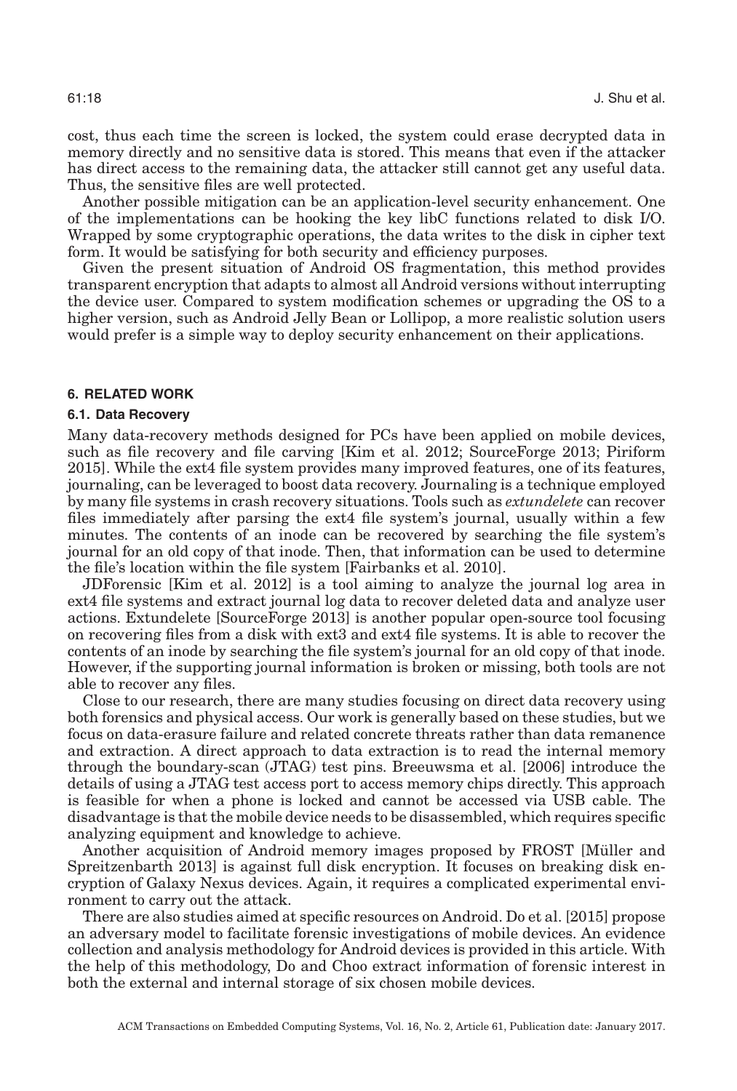cost, thus each time the screen is locked, the system could erase decrypted data in memory directly and no sensitive data is stored. This means that even if the attacker has direct access to the remaining data, the attacker still cannot get any useful data. Thus, the sensitive files are well protected.

Another possible mitigation can be an application-level security enhancement. One of the implementations can be hooking the key libC functions related to disk I/O. Wrapped by some cryptographic operations, the data writes to the disk in cipher text form. It would be satisfying for both security and efficiency purposes.

Given the present situation of Android OS fragmentation, this method provides transparent encryption that adapts to almost all Android versions without interrupting the device user. Compared to system modification schemes or upgrading the OS to a higher version, such as Android Jelly Bean or Lollipop, a more realistic solution users would prefer is a simple way to deploy security enhancement on their applications.

### **6. RELATED WORK**

#### <span id="page-17-0"></span>**6.1. Data Recovery**

Many data-recovery methods designed for PCs have been applied on mobile devices, such as file recovery and file carving [Kim et al. [2012;](#page-20-12) SourceForge [2013;](#page-20-21) Piriform [2015\]](#page-20-22). While the ext4 file system provides many improved features, one of its features, journaling, can be leveraged to boost data recovery. Journaling is a technique employed by many file systems in crash recovery situations. Tools such as *extundelete* can recover files immediately after parsing the ext4 file system's journal, usually within a few minutes. The contents of an inode can be recovered by searching the file system's journal for an old copy of that inode. Then, that information can be used to determine the file's location within the file system [Fairbanks et al. [2010\]](#page-19-11).

JDForensic [Kim et al. [2012\]](#page-20-12) is a tool aiming to analyze the journal log area in ext4 file systems and extract journal log data to recover deleted data and analyze user actions. Extundelete [SourceForge [2013\]](#page-20-21) is another popular open-source tool focusing on recovering files from a disk with ext3 and ext4 file systems. It is able to recover the contents of an inode by searching the file system's journal for an old copy of that inode. However, if the supporting journal information is broken or missing, both tools are not able to recover any files.

Close to our research, there are many studies focusing on direct data recovery using both forensics and physical access. Our work is generally based on these studies, but we focus on data-erasure failure and related concrete threats rather than data remanence and extraction. A direct approach to data extraction is to read the internal memory through the boundary-scan (JTAG) test pins. Breeuwsma et al. [\[2006\]](#page-19-12) introduce the details of using a JTAG test access port to access memory chips directly. This approach is feasible for when a phone is locked and cannot be accessed via USB cable. The disadvantage is that the mobile device needs to be disassembled, which requires specific analyzing equipment and knowledge to achieve.

Another acquisition of Android memory images proposed by FROST [Müller and Spreitzenbarth [2013\]](#page-20-23) is against full disk encryption. It focuses on breaking disk encryption of Galaxy Nexus devices. Again, it requires a complicated experimental environment to carry out the attack.

There are also studies aimed at specific resources on Android. Do et al. [\[2015\]](#page-19-13) propose an adversary model to facilitate forensic investigations of mobile devices. An evidence collection and analysis methodology for Android devices is provided in this article. With the help of this methodology, Do and Choo extract information of forensic interest in both the external and internal storage of six chosen mobile devices.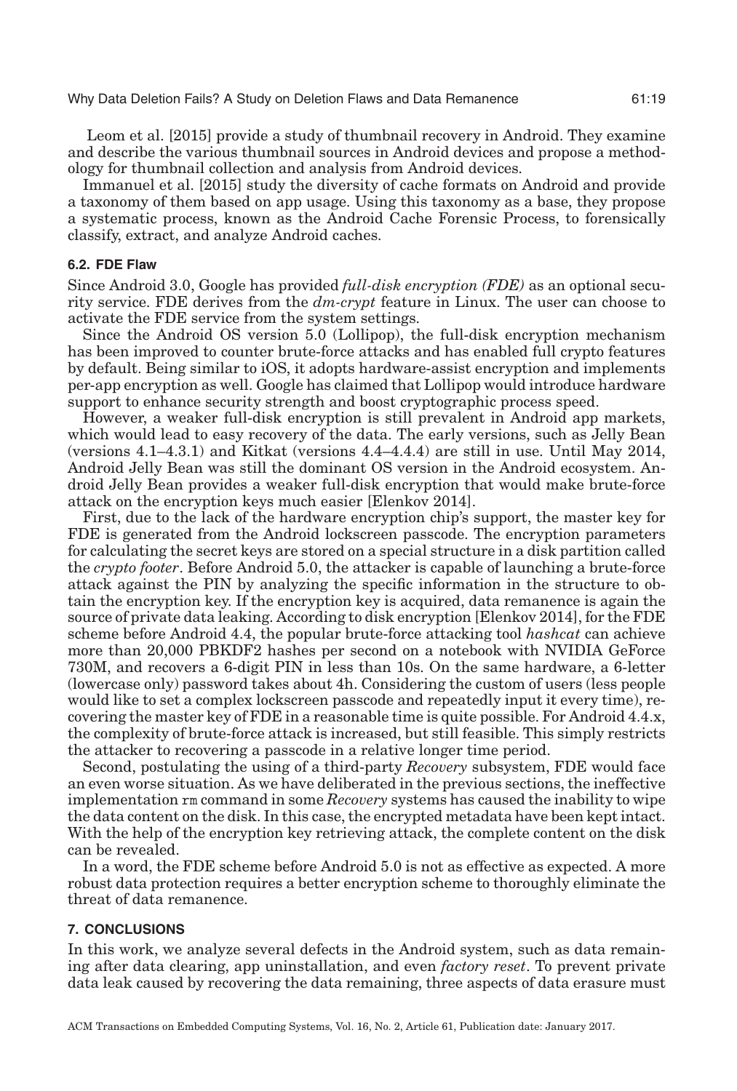Leom et al. [\[2015\]](#page-20-24) provide a study of thumbnail recovery in Android. They examine and describe the various thumbnail sources in Android devices and propose a methodology for thumbnail collection and analysis from Android devices.

Immanuel et al. [\[2015\]](#page-20-25) study the diversity of cache formats on Android and provide a taxonomy of them based on app usage. Using this taxonomy as a base, they propose a systematic process, known as the Android Cache Forensic Process, to forensically classify, extract, and analyze Android caches.

#### **6.2. FDE Flaw**

Since Android 3.0, Google has provided *full-disk encryption (FDE)* as an optional security service. FDE derives from the *dm-crypt* feature in Linux. The user can choose to activate the FDE service from the system settings.

Since the Android OS version 5.0 (Lollipop), the full-disk encryption mechanism has been improved to counter brute-force attacks and has enabled full crypto features by default. Being similar to iOS, it adopts hardware-assist encryption and implements per-app encryption as well. Google has claimed that Lollipop would introduce hardware support to enhance security strength and boost cryptographic process speed.

However, a weaker full-disk encryption is still prevalent in Android app markets, which would lead to easy recovery of the data. The early versions, such as Jelly Bean (versions 4.1–4.3.1) and Kitkat (versions 4.4–4.4.4) are still in use. Until May 2014, Android Jelly Bean was still the dominant OS version in the Android ecosystem. Android Jelly Bean provides a weaker full-disk encryption that would make brute-force attack on the encryption keys much easier [Elenkov [2014\]](#page-19-14).

First, due to the lack of the hardware encryption chip's support, the master key for FDE is generated from the Android lockscreen passcode. The encryption parameters for calculating the secret keys are stored on a special structure in a disk partition called the *crypto footer*. Before Android 5.0, the attacker is capable of launching a brute-force attack against the PIN by analyzing the specific information in the structure to obtain the encryption key. If the encryption key is acquired, data remanence is again the source of private data leaking. According to disk encryption [Elenkov [2014\]](#page-19-14), for the FDE scheme before Android 4.4, the popular brute-force attacking tool *hashcat* can achieve more than 20,000 PBKDF2 hashes per second on a notebook with NVIDIA GeForce 730M, and recovers a 6-digit PIN in less than 10s. On the same hardware, a 6-letter (lowercase only) password takes about 4h. Considering the custom of users (less people would like to set a complex lockscreen passcode and repeatedly input it every time), recovering the master key of FDE in a reasonable time is quite possible. For Android 4.4.x, the complexity of brute-force attack is increased, but still feasible. This simply restricts the attacker to recovering a passcode in a relative longer time period.

Second, postulating the using of a third-party *Recovery* subsystem, FDE would face an even worse situation. As we have deliberated in the previous sections, the ineffective implementation rm command in some *Recovery* systems has caused the inability to wipe the data content on the disk. In this case, the encrypted metadata have been kept intact. With the help of the encryption key retrieving attack, the complete content on the disk can be revealed.

In a word, the FDE scheme before Android 5.0 is not as effective as expected. A more robust data protection requires a better encryption scheme to thoroughly eliminate the threat of data remanence.

#### **7. CONCLUSIONS**

<span id="page-18-0"></span>In this work, we analyze several defects in the Android system, such as data remaining after data clearing, app uninstallation, and even *factory reset*. To prevent private data leak caused by recovering the data remaining, three aspects of data erasure must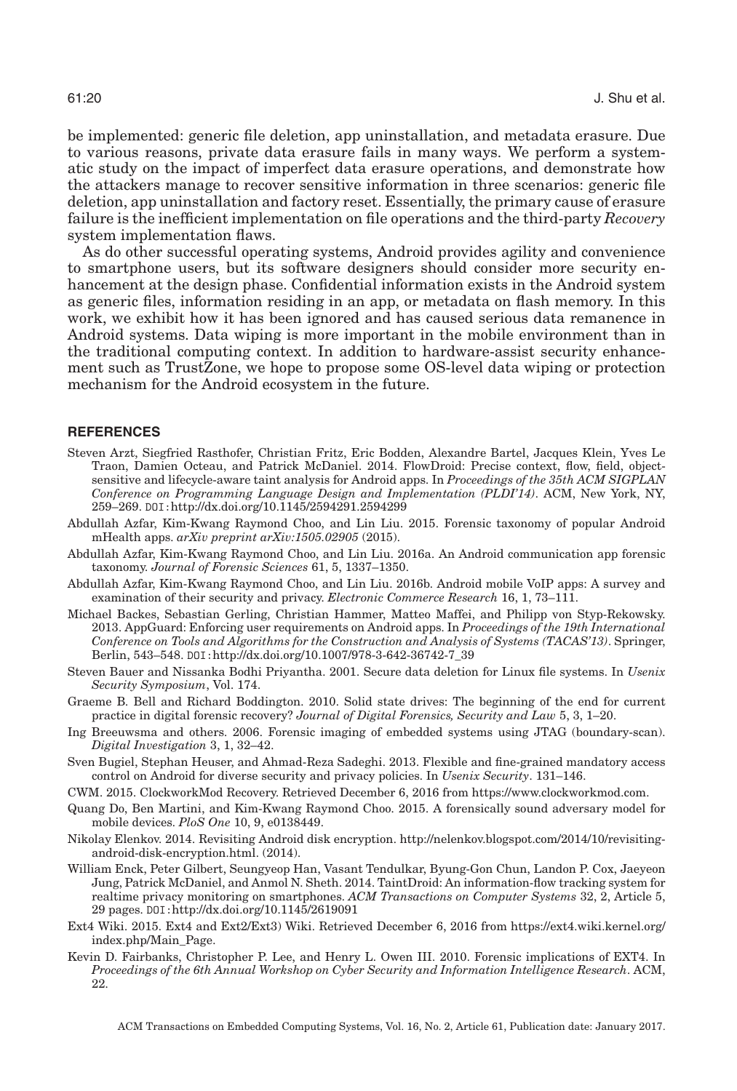be implemented: generic file deletion, app uninstallation, and metadata erasure. Due to various reasons, private data erasure fails in many ways. We perform a systematic study on the impact of imperfect data erasure operations, and demonstrate how the attackers manage to recover sensitive information in three scenarios: generic file deletion, app uninstallation and factory reset. Essentially, the primary cause of erasure failure is the inefficient implementation on file operations and the third-party *Recovery* system implementation flaws.

As do other successful operating systems, Android provides agility and convenience to smartphone users, but its software designers should consider more security enhancement at the design phase. Confidential information exists in the Android system as generic files, information residing in an app, or metadata on flash memory. In this work, we exhibit how it has been ignored and has caused serious data remanence in Android systems. Data wiping is more important in the mobile environment than in the traditional computing context. In addition to hardware-assist security enhancement such as TrustZone, we hope to propose some OS-level data wiping or protection mechanism for the Android ecosystem in the future.

#### **REFERENCES**

- <span id="page-19-5"></span>Steven Arzt, Siegfried Rasthofer, Christian Fritz, Eric Bodden, Alexandre Bartel, Jacques Klein, Yves Le Traon, Damien Octeau, and Patrick McDaniel. 2014. FlowDroid: Precise context, flow, field, objectsensitive and lifecycle-aware taint analysis for Android apps. In *Proceedings of the 35th ACM SIGPLAN Conference on Programming Language Design and Implementation (PLDI'14)*. ACM, New York, NY, 259–269. DOI:<http://dx.doi.org/10.1145/2594291.2594299>
- <span id="page-19-0"></span>Abdullah Azfar, Kim-Kwang Raymond Choo, and Lin Liu. 2015. Forensic taxonomy of popular Android mHealth apps. *arXiv preprint arXiv:1505.02905* (2015).
- <span id="page-19-1"></span>Abdullah Azfar, Kim-Kwang Raymond Choo, and Lin Liu. 2016a. An Android communication app forensic taxonomy. *Journal of Forensic Sciences* 61, 5, 1337–1350.
- <span id="page-19-2"></span>Abdullah Azfar, Kim-Kwang Raymond Choo, and Lin Liu. 2016b. Android mobile VoIP apps: A survey and examination of their security and privacy. *Electronic Commerce Research* 16, 1, 73–111.
- <span id="page-19-6"></span>Michael Backes, Sebastian Gerling, Christian Hammer, Matteo Maffei, and Philipp von Styp-Rekowsky. 2013. AppGuard: Enforcing user requirements on Android apps. In *Proceedings of the 19th International Conference on Tools and Algorithms for the Construction and Analysis of Systems (TACAS'13)*. Springer, Berlin, 543–548. DOI:[http://dx.doi.org/10.1007/978-3-642-36742-7\\_39](http://dx.doi.org/10.1007/978-3-642-36742-7_39)
- <span id="page-19-7"></span>Steven Bauer and Nissanka Bodhi Priyantha. 2001. Secure data deletion for Linux file systems. In *Usenix Security Symposium*, Vol. 174.
- <span id="page-19-9"></span>Graeme B. Bell and Richard Boddington. 2010. Solid state drives: The beginning of the end for current practice in digital forensic recovery? *Journal of Digital Forensics, Security and Law* 5, 3, 1–20.
- <span id="page-19-12"></span>Ing Breeuwsma and others. 2006. Forensic imaging of embedded systems using JTAG (boundary-scan). *Digital Investigation* 3, 1, 32–42.
- <span id="page-19-3"></span>Sven Bugiel, Stephan Heuser, and Ahmad-Reza Sadeghi. 2013. Flexible and fine-grained mandatory access control on Android for diverse security and privacy policies. In *Usenix Security*. 131–146.
- <span id="page-19-10"></span>CWM. 2015. ClockworkMod Recovery. Retrieved December 6, 2016 from [https://www.clockworkmod.com.](https://www.clockworkmod.com)
- <span id="page-19-13"></span>Quang Do, Ben Martini, and Kim-Kwang Raymond Choo. 2015. A forensically sound adversary model for mobile devices. *PloS One* 10, 9, e0138449.
- <span id="page-19-14"></span>Nikolay Elenkov. 2014. Revisiting Android disk encryption. [http://nelenkov.blogspot.com/2014/10/revisiting](http://nelenkov.blogspot.com/2014/10/revisiting-android-disk-encryption.html)[android-disk-encryption.html.](http://nelenkov.blogspot.com/2014/10/revisiting-android-disk-encryption.html) (2014).
- <span id="page-19-4"></span>William Enck, Peter Gilbert, Seungyeop Han, Vasant Tendulkar, Byung-Gon Chun, Landon P. Cox, Jaeyeon Jung, Patrick McDaniel, and Anmol N. Sheth. 2014. TaintDroid: An information-flow tracking system for realtime privacy monitoring on smartphones. *ACM Transactions on Computer Systems* 32, 2, Article 5, 29 pages. DOI:<http://dx.doi.org/10.1145/2619091>
- <span id="page-19-8"></span>Ext4 Wiki. 2015. Ext4 and Ext2/Ext3) Wiki. Retrieved December 6, 2016 from [https://ext4.wiki.kernel.org/](https://ext4.wiki.kernel.org/ ignorespaces index.php/Main_Page) [index.php/Main\\_Page.](https://ext4.wiki.kernel.org/ ignorespaces index.php/Main_Page)
- <span id="page-19-11"></span>Kevin D. Fairbanks, Christopher P. Lee, and Henry L. Owen III. 2010. Forensic implications of EXT4. In *Proceedings of the 6th Annual Workshop on Cyber Security and Information Intelligence Research*. ACM, 22.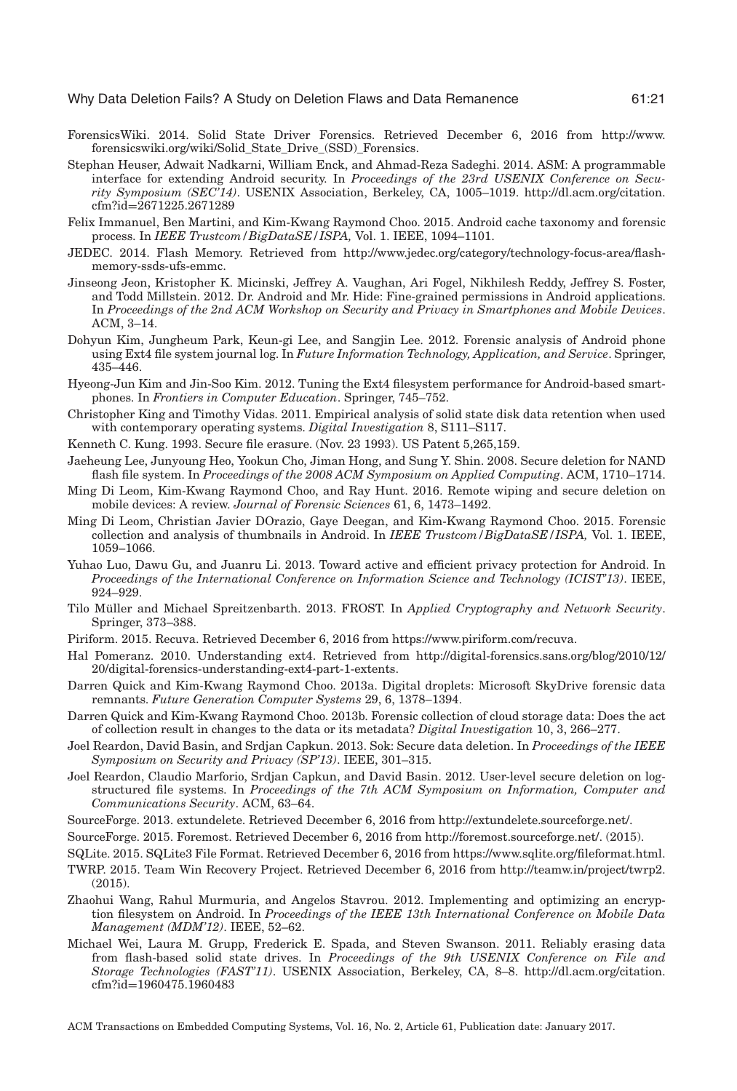- <span id="page-20-10"></span>ForensicsWiki. 2014. Solid State Driver Forensics. Retrieved December 6, 2016 from [http://www.](http://www. forensicswiki.org/wiki/SolidStateDrive(SSD)Forensics) [forensicswiki.org/wiki/Solid\\_State\\_Drive\\_\(SSD\)\\_Forensics.](http://www. forensicswiki.org/wiki/SolidStateDrive(SSD)Forensics)
- <span id="page-20-0"></span>Stephan Heuser, Adwait Nadkarni, William Enck, and Ahmad-Reza Sadeghi. 2014. ASM: A programmable interface for extending Android security. In *Proceedings of the 23rd USENIX Conference on Security Symposium (SEC'14)*. USENIX Association, Berkeley, CA, 1005–1019. [http://dl.acm.org/citation.](http://dl.acm.org/citation.cfm?id=2671225.2671289) cfm?id=[2671225.2671289](http://dl.acm.org/citation.cfm?id=2671225.2671289)
- <span id="page-20-25"></span>Felix Immanuel, Ben Martini, and Kim-Kwang Raymond Choo. 2015. Android cache taxonomy and forensic process. In *IEEE Trustcom/BigDataSE/ISPA,* Vol. 1. IEEE, 1094–1101.
- <span id="page-20-9"></span>JEDEC. 2014. Flash Memory. Retrieved from [http://www.jedec.org/category/technology-focus-area/flash](http://www.jedec.org/category/technology-focus-area/flash- ignorespaces memory-ssds-ufs-emmc)[memory-ssds-ufs-emmc.](http://www.jedec.org/category/technology-focus-area/flash- ignorespaces memory-ssds-ufs-emmc)
- <span id="page-20-1"></span>Jinseong Jeon, Kristopher K. Micinski, Jeffrey A. Vaughan, Ari Fogel, Nikhilesh Reddy, Jeffrey S. Foster, and Todd Millstein. 2012. Dr. Android and Mr. Hide: Fine-grained permissions in Android applications. In *Proceedings of the 2nd ACM Workshop on Security and Privacy in Smartphones and Mobile Devices*. ACM, 3–14.
- <span id="page-20-12"></span>Dohyun Kim, Jungheum Park, Keun-gi Lee, and Sangjin Lee. 2012. Forensic analysis of Android phone using Ext4 file system journal log. In *Future Information Technology, Application, and Service*. Springer, 435–446.
- <span id="page-20-14"></span>Hyeong-Jun Kim and Jin-Soo Kim. 2012. Tuning the Ext4 filesystem performance for Android-based smartphones. In *Frontiers in Computer Education*. Springer, 745–752.
- <span id="page-20-16"></span>Christopher King and Timothy Vidas. 2011. Empirical analysis of solid state disk data retention when used with contemporary operating systems. *Digital Investigation* 8, S111–S117.
- <span id="page-20-5"></span>Kenneth C. Kung. 1993. Secure file erasure. (Nov. 23 1993). US Patent 5,265,159.
- <span id="page-20-18"></span>Jaeheung Lee, Junyoung Heo, Yookun Cho, Jiman Hong, and Sung Y. Shin. 2008. Secure deletion for NAND flash file system. In *Proceedings of the 2008 ACM Symposium on Applied Computing*. ACM, 1710–1714.
- <span id="page-20-17"></span>Ming Di Leom, Kim-Kwang Raymond Choo, and Ray Hunt. 2016. Remote wiping and secure deletion on mobile devices: A review. *Journal of Forensic Sciences* 61, 6, 1473–1492.
- <span id="page-20-24"></span>Ming Di Leom, Christian Javier DOrazio, Gaye Deegan, and Kim-Kwang Raymond Choo. 2015. Forensic collection and analysis of thumbnails in Android. In *IEEE Trustcom/BigDataSE/ISPA,* Vol. 1. IEEE, 1059–1066.
- <span id="page-20-20"></span>Yuhao Luo, Dawu Gu, and Juanru Li. 2013. Toward active and efficient privacy protection for Android. In *Proceedings of the International Conference on Information Science and Technology (ICIST'13)*. IEEE, 924–929.
- <span id="page-20-23"></span>Tilo Müller and Michael Spreitzenbarth. 2013. FROST. In *Applied Cryptography and Network Security*. Springer, 373–388.
- <span id="page-20-22"></span>Piriform. 2015. Recuva. Retrieved December 6, 2016 from [https://www.piriform.com/recuva.](https://www.piriform.com/recuva)
- <span id="page-20-8"></span>Hal Pomeranz. 2010. Understanding ext4. Retrieved from [http://digital-forensics.sans.org/blog/2010/12/](http://digital-forensics.sans.org/blog/2010/12 /20/digital-forensics-understanding-ext4-part-1-extents) [20/digital-forensics-understanding-ext4-part-1-extents.](http://digital-forensics.sans.org/blog/2010/12 /20/digital-forensics-understanding-ext4-part-1-extents)
- <span id="page-20-6"></span>Darren Quick and Kim-Kwang Raymond Choo. 2013a. Digital droplets: Microsoft SkyDrive forensic data remnants. *Future Generation Computer Systems* 29, 6, 1378–1394.
- <span id="page-20-7"></span>Darren Quick and Kim-Kwang Raymond Choo. 2013b. Forensic collection of cloud storage data: Does the act of collection result in changes to the data or its metadata? *Digital Investigation* 10, 3, 266–277.
- <span id="page-20-4"></span>Joel Reardon, David Basin, and Srdjan Capkun. 2013. Sok: Secure data deletion. In *Proceedings of the IEEE Symposium on Security and Privacy (SP'13)*. IEEE, 301–315.
- <span id="page-20-3"></span>Joel Reardon, Claudio Marforio, Srdjan Capkun, and David Basin. 2012. User-level secure deletion on logstructured file systems. In *Proceedings of the 7th ACM Symposium on Information, Computer and Communications Security*. ACM, 63–64.
- <span id="page-20-21"></span>SourceForge. 2013. extundelete. Retrieved December 6, 2016 from [http://extundelete.sourceforge.net/.](http://extundelete.sourceforge.net/)
- <span id="page-20-15"></span>SourceForge. 2015. Foremost. Retrieved December 6, 2016 from [http://foremost.sourceforge.net/.](http://foremost.sourceforge.net/) (2015).
- <span id="page-20-13"></span>SQLite. 2015. SQLite3 File Format. Retrieved December 6, 2016 from [https://www.sqlite.org/fileformat.html.](https://www.sqlite.org/fileformat.html)
- <span id="page-20-11"></span>TWRP. 2015. Team Win Recovery Project. Retrieved December 6, 2016 from [http://teamw.in/project/twrp2.](http://teamw.in/project/twrp2) (2015).
- <span id="page-20-19"></span>Zhaohui Wang, Rahul Murmuria, and Angelos Stavrou. 2012. Implementing and optimizing an encryption filesystem on Android. In *Proceedings of the IEEE 13th International Conference on Mobile Data Management (MDM'12)*. IEEE, 52–62.
- <span id="page-20-2"></span>Michael Wei, Laura M. Grupp, Frederick E. Spada, and Steven Swanson. 2011. Reliably erasing data from flash-based solid state drives. In *Proceedings of the 9th USENIX Conference on File and Storage Technologies (FAST'11)*. USENIX Association, Berkeley, CA, 8–8. [http://dl.acm.org/citation.](http://dl.acm.org/citation. ignorespaces cfm?id$=$1960475.1960483) cfm?id=[1960475.1960483](http://dl.acm.org/citation. ignorespaces cfm?id$=$1960475.1960483)